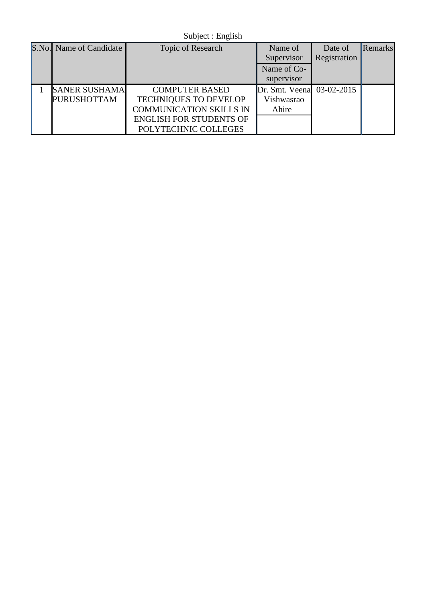Subject : English

| S.No. Name of Candidate | <b>Topic of Research</b>       | Name of                   | Date of      | Remarks |
|-------------------------|--------------------------------|---------------------------|--------------|---------|
|                         |                                | Supervisor                | Registration |         |
|                         |                                | Name of Co-               |              |         |
|                         |                                | supervisor                |              |         |
| <b>SANER SUSHAMA</b>    | <b>COMPUTER BASED</b>          | Dr. Smt. Veena 03-02-2015 |              |         |
| <b>PURUSHOTTAM</b>      | <b>TECHNIQUES TO DEVELOP</b>   | Vishwasrao                |              |         |
|                         | <b>COMMUNICATION SKILLS IN</b> | Ahire                     |              |         |
|                         | <b>ENGLISH FOR STUDENTS OF</b> |                           |              |         |
|                         | POLYTECHNIC COLLEGES           |                           |              |         |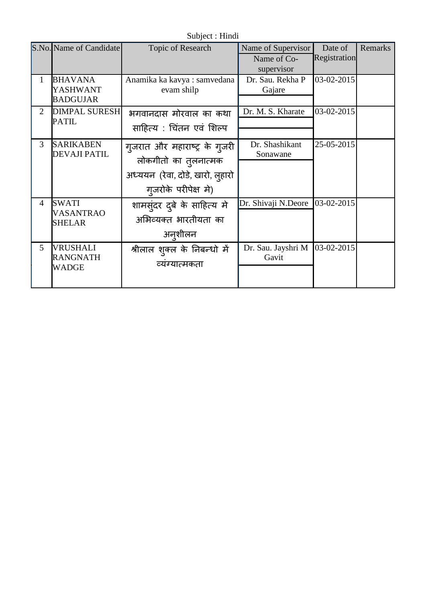Subject : Hindi

|                | S.No. Name of Candidate                       | Topic of Research                                                                                                 | Name of Supervisor<br>Name of Co- | Date of<br>Registration | Remarks |
|----------------|-----------------------------------------------|-------------------------------------------------------------------------------------------------------------------|-----------------------------------|-------------------------|---------|
|                |                                               |                                                                                                                   | supervisor                        |                         |         |
| $\mathbf{1}$   | <b>BHAVANA</b><br>YASHWANT<br><b>BADGUJAR</b> | Anamika ka kavya: samvedana<br>evam shilp                                                                         | Dr. Sau. Rekha P<br>Gajare        | 03-02-2015              |         |
| 2              | <b>DIMPAL SURESH</b><br><b>PATIL</b>          | भगवानदास मोरवाल का कथा<br>साहित्य : चिंतन एवं शिल्प                                                               | Dr. M. S. Kharate                 | 03-02-2015              |         |
| 3              | <b>SARIKABEN</b><br><b>DEVAJI PATIL</b>       | गुजरात और महाराष्ट्र के गुजरी<br>लोकगीतो का तुलनात्मक<br>अध्ययन (रेवा, दोडे, खारो, लुहारो<br>गुजरोके परीपेक्ष मे) | Dr. Shashikant<br>Sonawane        | 25-05-2015              |         |
| $\overline{4}$ | <b>SWATI</b><br>VASANTRAO<br><b>SHELAR</b>    | शामसुंदर दुबे के साहित्य मे<br>अभिव्यक्त भारतीयता का<br>अन्शीलन                                                   | Dr. Shivaji N.Deore               | 03-02-2015              |         |
| 5              | <b>VRUSHALI</b><br><b>RANGNATH</b><br>WADGE   | श्रीलाल शुक्ल के निबन्धो में<br>व्यग्यात्मकता                                                                     | Dr. Sau. Jayshri M<br>Gavit       | 03-02-2015              |         |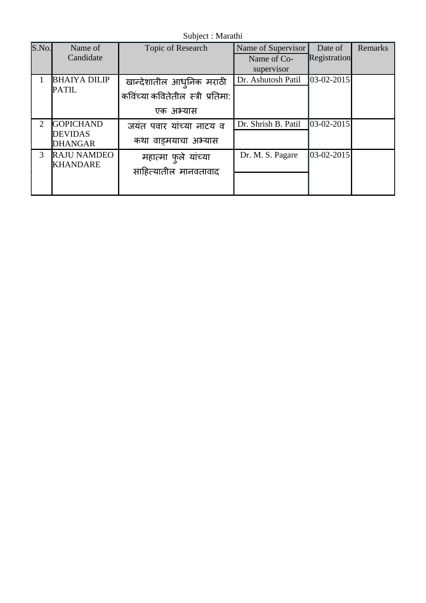Subject : Marathi

| S.No.          | Name of                          | Topic of Research                 | Name of Supervisor  | Date of          | Remarks |
|----------------|----------------------------------|-----------------------------------|---------------------|------------------|---------|
|                | Candidate                        |                                   | Name of Co-         | Registration     |         |
|                |                                  |                                   | supervisor          |                  |         |
|                | <b>BHAIYA DILIP</b>              | खान्देशातील आधुनिक मराठी          | Dr. Ashutosh Patil  | $03-02-2015$     |         |
|                | <b>PATIL</b>                     | कविंच्या कवितेतील स्त्री प्रतिमा: |                     |                  |         |
|                |                                  | एक अभ्यास                         |                     |                  |         |
| $\overline{2}$ | <b>GOPICHAND</b>                 | जयंत पवार यांच्या नाटय व          | Dr. Shrish B. Patil | $03 - 02 - 2015$ |         |
|                | <b>DEVIDAS</b><br><b>DHANGAR</b> | कथा वाडमयाचा अभ्यास               |                     |                  |         |
| 3              | <b>RAJU NAMDEO</b>               | महात्मा फुले यांच्या              | Dr. M. S. Pagare    | 03-02-2015       |         |
|                | <b>KHANDARE</b>                  | साहित्यातील मानवतावाद             |                     |                  |         |
|                |                                  |                                   |                     |                  |         |
|                |                                  |                                   |                     |                  |         |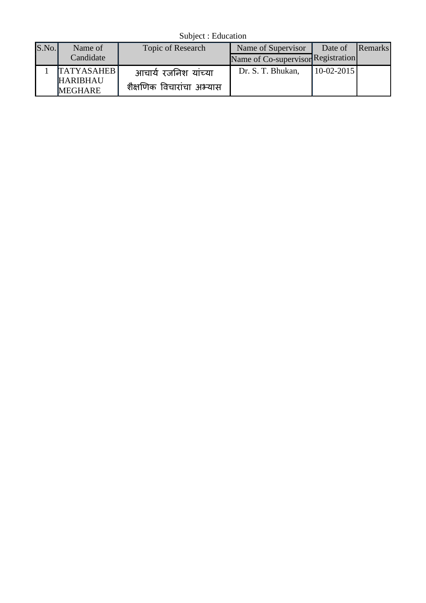Subject : Education

| S.No. | Name of                           | Topic of Research         | Name of Supervisor                 | Date of      | Remarks |
|-------|-----------------------------------|---------------------------|------------------------------------|--------------|---------|
|       | Candidate                         |                           | Name of Co-supervisor Registration |              |         |
|       | <b>TATYASAHEB</b>                 | आचार्य रजनिश यांच्या      | Dr. S. T. Bhukan,                  | $10-02-2015$ |         |
|       | <b>HARIBHAU</b><br><b>MEGHARE</b> | शैक्षणिक विचारांचा अभ्यास |                                    |              |         |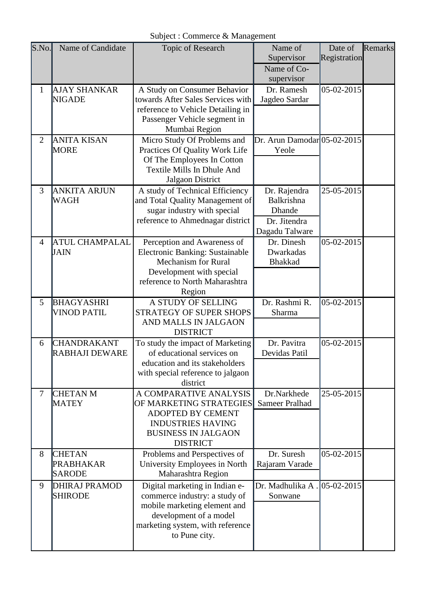| S.No.          | Name of Candidate     | <b>Topic of Research</b>                                   | Name of                     | Date of      | Remarks |
|----------------|-----------------------|------------------------------------------------------------|-----------------------------|--------------|---------|
|                |                       |                                                            | Supervisor                  | Registration |         |
|                |                       |                                                            | Name of Co-                 |              |         |
|                |                       |                                                            | supervisor                  |              |         |
| $\mathbf{1}$   | <b>AJAY SHANKAR</b>   | A Study on Consumer Behavior                               | Dr. Ramesh                  | 05-02-2015   |         |
|                | <b>NIGADE</b>         | towards After Sales Services with                          | Jagdeo Sardar               |              |         |
|                |                       | reference to Vehicle Detailing in                          |                             |              |         |
|                |                       | Passenger Vehicle segment in<br>Mumbai Region              |                             |              |         |
| $\overline{2}$ | <b>ANITA KISAN</b>    | Micro Study Of Problems and                                | Dr. Arun Damodar 05-02-2015 |              |         |
|                | <b>MORE</b>           | Practices Of Quality Work Life                             | Yeole                       |              |         |
|                |                       | Of The Employees In Cotton                                 |                             |              |         |
|                |                       | Textile Mills In Dhule And                                 |                             |              |         |
|                |                       | Jalgaon District                                           |                             |              |         |
| 3              | <b>ANKITA ARJUN</b>   | A study of Technical Efficiency                            | Dr. Rajendra                | 25-05-2015   |         |
|                | WAGH                  | and Total Quality Management of                            | Balkrishna                  |              |         |
|                |                       | sugar industry with special                                | Dhande                      |              |         |
|                |                       | reference to Ahmednagar district                           | Dr. Jitendra                |              |         |
|                |                       |                                                            | Dagadu Talware              |              |         |
| $\overline{4}$ | <b>ATUL CHAMPALAL</b> | Perception and Awareness of                                | Dr. Dinesh                  | 05-02-2015   |         |
|                | JAIN                  | Electronic Banking: Sustainable                            | Dwarkadas                   |              |         |
|                |                       | <b>Mechanism for Rural</b>                                 | <b>Bhakkad</b>              |              |         |
|                |                       | Development with special<br>reference to North Maharashtra |                             |              |         |
|                |                       | Region                                                     |                             |              |         |
| 5              | <b>BHAGYASHRI</b>     | A STUDY OF SELLING                                         | Dr. Rashmi R.               | 05-02-2015   |         |
|                | <b>VINOD PATIL</b>    | STRATEGY OF SUPER SHOPS                                    | Sharma                      |              |         |
|                |                       | AND MALLS IN JALGAON                                       |                             |              |         |
|                |                       | <b>DISTRICT</b>                                            |                             |              |         |
| 6              | <b>CHANDRAKANT</b>    | To study the impact of Marketing                           | Dr. Pavitra                 | 05-02-2015   |         |
|                | <b>RABHAJI DEWARE</b> | of educational services on                                 | Devidas Patil               |              |         |
|                |                       | education and its stakeholders                             |                             |              |         |
|                |                       | with special reference to jalgaon                          |                             |              |         |
|                |                       | district                                                   |                             |              |         |
| 7              | <b>CHETAN M</b>       | A COMPARATIVE ANALYSIS                                     | Dr.Narkhede                 | 25-05-2015   |         |
|                | <b>MATEY</b>          | OF MARKETING STRATEGIES<br><b>ADOPTED BY CEMENT</b>        | <b>Sameer Pralhad</b>       |              |         |
|                |                       | <b>INDUSTRIES HAVING</b>                                   |                             |              |         |
|                |                       | <b>BUSINESS IN JALGAON</b>                                 |                             |              |         |
|                |                       | <b>DISTRICT</b>                                            |                             |              |         |
| 8              | <b>CHETAN</b>         | Problems and Perspectives of                               | Dr. Suresh                  | 05-02-2015   |         |
|                | <b>PRABHAKAR</b>      | University Employees in North                              | Rajaram Varade              |              |         |
|                | <b>SARODE</b>         | Maharashtra Region                                         |                             |              |         |
| 9              | <b>DHIRAJ PRAMOD</b>  | Digital marketing in Indian e-                             | Dr. Madhulika A.            | 05-02-2015   |         |
|                | <b>SHIRODE</b>        | commerce industry: a study of                              | Sonwane                     |              |         |
|                |                       | mobile marketing element and                               |                             |              |         |
|                |                       | development of a model                                     |                             |              |         |
|                |                       | marketing system, with reference                           |                             |              |         |
|                |                       | to Pune city.                                              |                             |              |         |
|                |                       |                                                            |                             |              |         |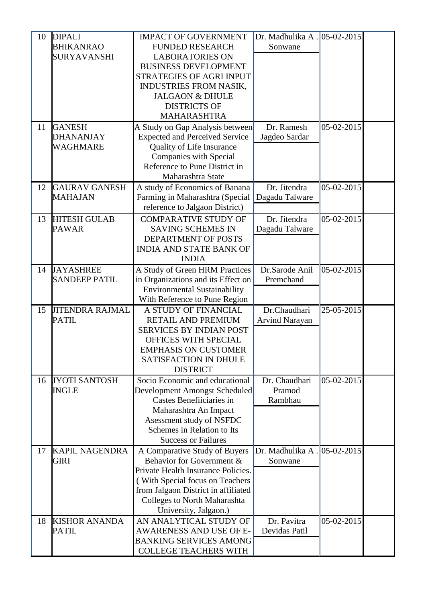| 10 | <b>DIPALI</b>          | <b>IMPACT OF GOVERNMENT</b>           | Dr. Madhulika A . 05-02-2015 |                |  |
|----|------------------------|---------------------------------------|------------------------------|----------------|--|
|    | <b>BHIKANRAO</b>       | <b>FUNDED RESEARCH</b>                | Sonwane                      |                |  |
|    | <b>SURYAVANSHI</b>     | <b>LABORATORIES ON</b>                |                              |                |  |
|    |                        | <b>BUSINESS DEVELOPMENT</b>           |                              |                |  |
|    |                        | <b>STRATEGIES OF AGRI INPUT</b>       |                              |                |  |
|    |                        | <b>INDUSTRIES FROM NASIK,</b>         |                              |                |  |
|    |                        | <b>JALGAON &amp; DHULE</b>            |                              |                |  |
|    |                        | <b>DISTRICTS OF</b>                   |                              |                |  |
|    |                        | <b>MAHARASHTRA</b>                    |                              |                |  |
| 11 | <b>GANESH</b>          | A Study on Gap Analysis between       | Dr. Ramesh                   | 05-02-2015     |  |
|    | <b>DHANANJAY</b>       | <b>Expected and Perceived Service</b> | Jagdeo Sardar                |                |  |
|    | WAGHMARE               | Quality of Life Insurance             |                              |                |  |
|    |                        | Companies with Special                |                              |                |  |
|    |                        | Reference to Pune District in         |                              |                |  |
|    |                        | Maharashtra State                     |                              |                |  |
| 12 | <b>GAURAV GANESH</b>   | A study of Economics of Banana        | Dr. Jitendra                 | 05-02-2015     |  |
|    | MAHAJAN                | Farming in Maharashtra (Special       | Dagadu Talware               |                |  |
|    |                        | reference to Jalgaon District)        |                              |                |  |
| 13 | <b>HITESH GULAB</b>    | <b>COMPARATIVE STUDY OF</b>           | Dr. Jitendra                 | 05-02-2015     |  |
|    | <b>PAWAR</b>           | <b>SAVING SCHEMES IN</b>              | Dagadu Talware               |                |  |
|    |                        | DEPARTMENT OF POSTS                   |                              |                |  |
|    |                        | <b>INDIA AND STATE BANK OF</b>        |                              |                |  |
|    |                        | <b>INDIA</b>                          |                              |                |  |
| 14 | <b>JAYASHREE</b>       | A Study of Green HRM Practices        | Dr.Sarode Anil               | 05-02-2015     |  |
|    | <b>SANDEEP PATIL</b>   | in Organizations and its Effect on    | Premchand                    |                |  |
|    |                        | <b>Environmental Sustainability</b>   |                              |                |  |
|    |                        | With Reference to Pune Region         |                              |                |  |
| 15 | <b>JITENDRA RAJMAL</b> | A STUDY OF FINANCIAL                  | Dr.Chaudhari                 | 25-05-2015     |  |
|    | <b>PATIL</b>           | RETAIL AND PREMIUM                    | <b>Arvind Narayan</b>        |                |  |
|    |                        | <b>SERVICES BY INDIAN POST</b>        |                              |                |  |
|    |                        | OFFICES WITH SPECIAL                  |                              |                |  |
|    |                        | <b>EMPHASIS ON CUSTOMER</b>           |                              |                |  |
|    |                        | <b>SATISFACTION IN DHULE</b>          |                              |                |  |
|    |                        | <b>DISTRICT</b>                       |                              |                |  |
| 16 | <b>JYOTI SANTOSH</b>   | Socio Economic and educational        | Dr. Chaudhari                | 05-02-2015     |  |
|    | <b>INGLE</b>           | Development Amongst Scheduled         | Pramod                       |                |  |
|    |                        | Castes Benefiiciaries in              | Rambhau                      |                |  |
|    |                        | Maharashtra An Impact                 |                              |                |  |
|    |                        | Asessment study of NSFDC              |                              |                |  |
|    |                        | Schemes in Relation to Its            |                              |                |  |
|    |                        | <b>Success or Failures</b>            |                              |                |  |
| 17 | <b>KAPIL NAGENDRA</b>  | A Comparative Study of Buyers         | Dr. Madhulika A.             | $ 05-02-2015 $ |  |
|    | <b>GIRI</b>            | Behavior for Government &             | Sonwane                      |                |  |
|    |                        | Private Health Insurance Policies.    |                              |                |  |
|    |                        | (With Special focus on Teachers       |                              |                |  |
|    |                        | from Jalgaon District in affiliated   |                              |                |  |
|    |                        | Colleges to North Maharashta          |                              |                |  |
|    |                        | University, Jalgaon.)                 |                              |                |  |
| 18 | <b>KISHOR ANANDA</b>   | AN ANALYTICAL STUDY OF                | Dr. Pavitra                  | 05-02-2015     |  |
|    | <b>PATIL</b>           | AWARENESS AND USE OF E-               | Devidas Patil                |                |  |
|    |                        | <b>BANKING SERVICES AMONG</b>         |                              |                |  |
|    |                        | <b>COLLEGE TEACHERS WITH</b>          |                              |                |  |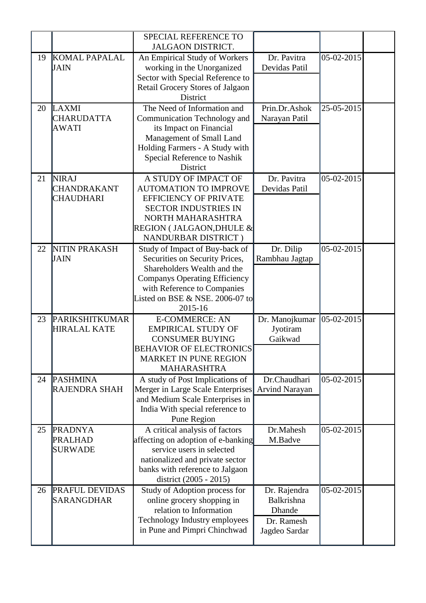|    |                                                        | SPECIAL REFERENCE TO<br><b>JALGAON DISTRICT.</b>                                                                                                                                                                     |                                                                     |            |  |
|----|--------------------------------------------------------|----------------------------------------------------------------------------------------------------------------------------------------------------------------------------------------------------------------------|---------------------------------------------------------------------|------------|--|
| 19 | <b>KOMAL PAPALAL</b><br><b>JAIN</b>                    | An Empirical Study of Workers<br>working in the Unorganized<br>Sector with Special Reference to<br>Retail Grocery Stores of Jalgaon<br>District                                                                      | Dr. Pavitra<br>Devidas Patil                                        | 05-02-2015 |  |
| 20 | LAXMI<br><b>CHARUDATTA</b><br><b>AWATI</b>             | The Need of Information and<br>Communication Technology and<br>its Impact on Financial<br>Management of Small Land<br>Holding Farmers - A Study with<br>Special Reference to Nashik<br><b>District</b>               | Prin.Dr.Ashok<br>Narayan Patil                                      | 25-05-2015 |  |
| 21 | <b>NIRAJ</b><br><b>CHANDRAKANT</b><br><b>CHAUDHARI</b> | A STUDY OF IMPACT OF<br><b>AUTOMATION TO IMPROVE</b><br><b>EFFICIENCY OF PRIVATE</b><br><b>SECTOR INDUSTRIES IN</b><br>NORTH MAHARASHTRA<br>REGION (JALGAON, DHULE &<br>NANDURBAR DISTRICT)                          | Dr. Pavitra<br>Devidas Patil                                        | 05-02-2015 |  |
| 22 | NITIN PRAKASH<br>JAIN                                  | Study of Impact of Buy-back of<br>Securities on Security Prices,<br>Shareholders Wealth and the<br><b>Companys Operating Efficiency</b><br>with Reference to Companies<br>Listed on BSE & NSE. 2006-07 to<br>2015-16 | Dr. Dilip<br>Rambhau Jagtap                                         | 05-02-2015 |  |
| 23 | PARIKSHITKUMAR<br><b>HIRALAL KATE</b>                  | <b>E-COMMERCE: AN</b><br><b>EMPIRICAL STUDY OF</b><br><b>CONSUMER BUYING</b><br><b>BEHAVIOR OF ELECTRONICS</b><br><b>MARKET IN PUNE REGION</b><br><b>MAHARASHTRA</b>                                                 | Dr. Manojkumar<br>Jyotiram<br>Gaikwad                               | 05-02-2015 |  |
| 24 | <b>PASHMINA</b><br><b>RAJENDRA SHAH</b>                | A study of Post Implications of<br>Merger in Large Scale Enterprises<br>and Medium Scale Enterprises in<br>India With special reference to<br>Pune Region                                                            | Dr.Chaudhari<br><b>Arvind Narayan</b>                               | 05-02-2015 |  |
| 25 | <b>PRADNYA</b><br><b>PRALHAD</b><br><b>SURWADE</b>     | A critical analysis of factors<br>affecting on adoption of e-banking<br>service users in selected<br>nationalized and private sector<br>banks with reference to Jalgaon<br>district (2005 - 2015)                    | Dr.Mahesh<br>M.Badve                                                | 05-02-2015 |  |
| 26 | <b>PRAFUL DEVIDAS</b><br>SARANGDHAR                    | Study of Adoption process for<br>online grocery shopping in<br>relation to Information<br>Technology Industry employees<br>in Pune and Pimpri Chinchwad                                                              | Dr. Rajendra<br>Balkrishna<br>Dhande<br>Dr. Ramesh<br>Jagdeo Sardar | 05-02-2015 |  |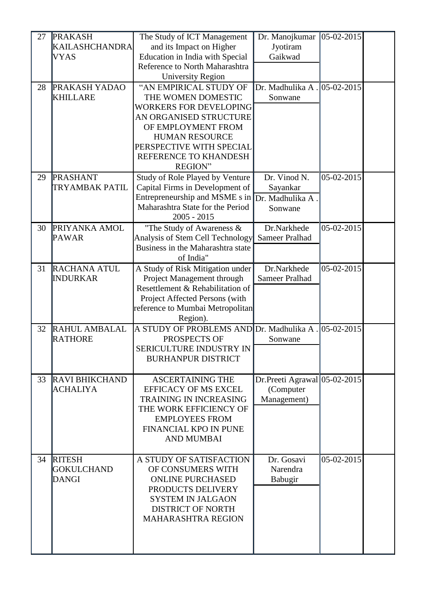| 27 | <b>PRAKASH</b>        | The Study of ICT Management                    | Dr. Manojkumar               | 05-02-2015    |  |
|----|-----------------------|------------------------------------------------|------------------------------|---------------|--|
|    | <b>KAILASHCHANDRA</b> | and its Impact on Higher                       | Jyotiram                     |               |  |
|    | <b>VYAS</b>           | Education in India with Special                | Gaikwad                      |               |  |
|    |                       | Reference to North Maharashtra                 |                              |               |  |
|    |                       | <b>University Region</b>                       |                              |               |  |
| 28 | <b>PRAKASH YADAO</b>  | "AN EMPIRICAL STUDY OF                         | Dr. Madhulika A.             | 05-02-2015    |  |
|    | <b>KHILLARE</b>       | THE WOMEN DOMESTIC                             | Sonwane                      |               |  |
|    |                       | <b>WORKERS FOR DEVELOPING</b>                  |                              |               |  |
|    |                       | AN ORGANISED STRUCTURE                         |                              |               |  |
|    |                       | OF EMPLOYMENT FROM                             |                              |               |  |
|    |                       | <b>HUMAN RESOURCE</b>                          |                              |               |  |
|    |                       | PERSPECTIVE WITH SPECIAL                       |                              |               |  |
|    |                       | REFERENCE TO KHANDESH                          |                              |               |  |
|    |                       | <b>REGION"</b>                                 |                              |               |  |
| 29 | <b>PRASHANT</b>       | Study of Role Played by Venture                | Dr. Vinod N.                 | 05-02-2015    |  |
|    | TRYAMBAK PATIL        | Capital Firms in Development of                | Sayankar                     |               |  |
|    |                       | Entrepreneurship and MSME s in Dr. Madhulika A |                              |               |  |
|    |                       | Maharashtra State for the Period               | Sonwane                      |               |  |
|    |                       | $2005 - 2015$                                  |                              |               |  |
| 30 | PRIYANKA AMOL         | "The Study of Awareness &                      | Dr.Narkhede                  | 05-02-2015    |  |
|    | <b>PAWAR</b>          | Analysis of Stem Cell Technology               | Sameer Pralhad               |               |  |
|    |                       | Business in the Maharashtra state              |                              |               |  |
|    |                       | of India"                                      |                              |               |  |
| 31 | <b>RACHANA ATUL</b>   | A Study of Risk Mitigation under               | Dr.Narkhede                  | 05-02-2015    |  |
|    | <b>INDURKAR</b>       | Project Management through                     | Sameer Pralhad               |               |  |
|    |                       | Resettlement & Rehabilitation of               |                              |               |  |
|    |                       | Project Affected Persons (with                 |                              |               |  |
|    |                       | reference to Mumbai Metropolitan               |                              |               |  |
|    |                       | Region).                                       |                              |               |  |
| 32 | <b>RAHUL AMBALAL</b>  | A STUDY OF PROBLEMS AND Dr. Madhulika A.       |                              | $ 05-02-2015$ |  |
|    | <b>RATHORE</b>        | PROSPECTS OF                                   | Sonwane                      |               |  |
|    |                       | SERICULTURE INDUSTRY IN                        |                              |               |  |
|    |                       | <b>BURHANPUR DISTRICT</b>                      |                              |               |  |
|    |                       |                                                |                              |               |  |
| 33 | <b>RAVI BHIKCHAND</b> | <b>ASCERTAINING THE</b>                        | Dr.Preeti Agrawal 05-02-2015 |               |  |
|    | <b>ACHALIYA</b>       | <b>EFFICACY OF MS EXCEL</b>                    | (Computer                    |               |  |
|    |                       | <b>TRAINING IN INCREASING</b>                  | Management)                  |               |  |
|    |                       | THE WORK EFFICIENCY OF                         |                              |               |  |
|    |                       | <b>EMPLOYEES FROM</b>                          |                              |               |  |
|    |                       | <b>FINANCIAL KPO IN PUNE</b>                   |                              |               |  |
|    |                       | <b>AND MUMBAI</b>                              |                              |               |  |
|    |                       |                                                |                              |               |  |
| 34 | <b>RITESH</b>         | A STUDY OF SATISFACTION                        | Dr. Gosavi                   | 05-02-2015    |  |
|    | <b>GOKULCHAND</b>     | OF CONSUMERS WITH                              | Narendra                     |               |  |
|    | DANGI                 | <b>ONLINE PURCHASED</b>                        | Babugir                      |               |  |
|    |                       | PRODUCTS DELIVERY                              |                              |               |  |
|    |                       | <b>SYSTEM IN JALGAON</b>                       |                              |               |  |
|    |                       | <b>DISTRICT OF NORTH</b>                       |                              |               |  |
|    |                       | <b>MAHARASHTRA REGION</b>                      |                              |               |  |
|    |                       |                                                |                              |               |  |
|    |                       |                                                |                              |               |  |
|    |                       |                                                |                              |               |  |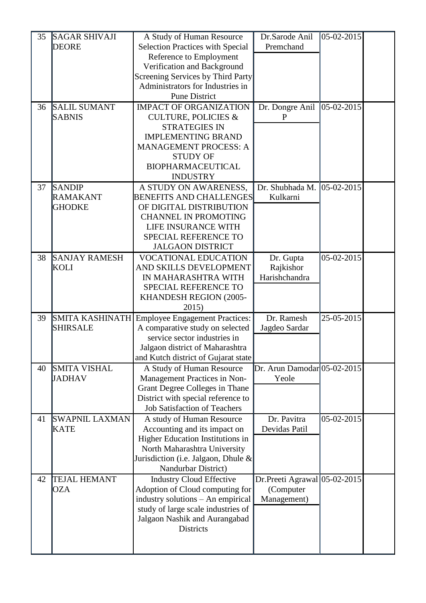| 35 | <b>SAGAR SHIVAJI</b>                 | A Study of Human Resource                                      | Dr.Sarode Anil                         | 05-02-2015 |  |
|----|--------------------------------------|----------------------------------------------------------------|----------------------------------------|------------|--|
|    | <b>DEORE</b>                         | <b>Selection Practices with Special</b>                        | Premchand                              |            |  |
|    |                                      | Reference to Employment                                        |                                        |            |  |
|    |                                      | Verification and Background                                    |                                        |            |  |
|    |                                      | Screening Services by Third Party                              |                                        |            |  |
|    |                                      | Administrators for Industries in                               |                                        |            |  |
|    |                                      | <b>Pune District</b>                                           |                                        |            |  |
| 36 | <b>SALIL SUMANT</b>                  | <b>IMPACT OF ORGANIZATION</b>                                  | Dr. Dongre Anil                        | 05-02-2015 |  |
|    | <b>SABNIS</b>                        | <b>CULTURE, POLICIES &amp;</b>                                 | P                                      |            |  |
|    |                                      | <b>STRATEGIES IN</b>                                           |                                        |            |  |
|    |                                      | <b>IMPLEMENTING BRAND</b>                                      |                                        |            |  |
|    |                                      | <b>MANAGEMENT PROCESS: A</b>                                   |                                        |            |  |
|    |                                      | <b>STUDY OF</b>                                                |                                        |            |  |
|    |                                      | <b>BIOPHARMACEUTICAL</b><br><b>INDUSTRY</b>                    |                                        |            |  |
| 37 | <b>SANDIP</b>                        | A STUDY ON AWARENESS,                                          | Dr. Shubhada M.                        | 05-02-2015 |  |
|    | <b>RAMAKANT</b>                      | <b>BENEFITS AND CHALLENGES</b>                                 | Kulkarni                               |            |  |
|    | <b>GHODKE</b>                        | OF DIGITAL DISTRIBUTION                                        |                                        |            |  |
|    |                                      | <b>CHANNEL IN PROMOTING</b>                                    |                                        |            |  |
|    |                                      | LIFE INSURANCE WITH                                            |                                        |            |  |
|    |                                      | SPECIAL REFERENCE TO                                           |                                        |            |  |
|    |                                      | <b>JALGAON DISTRICT</b>                                        |                                        |            |  |
| 38 | <b>SANJAY RAMESH</b>                 | <b>VOCATIONAL EDUCATION</b>                                    | Dr. Gupta                              | 05-02-2015 |  |
|    | KOLI                                 | AND SKILLS DEVELOPMENT                                         | Rajkishor                              |            |  |
|    |                                      | IN MAHARASHTRA WITH                                            | Harishchandra                          |            |  |
|    |                                      | SPECIAL REFERENCE TO                                           |                                        |            |  |
|    |                                      | KHANDESH REGION (2005-                                         |                                        |            |  |
|    |                                      | 2015)                                                          |                                        |            |  |
| 39 | SMITA KASHINATH                      | <b>Employee Engagement Practices:</b>                          | Dr. Ramesh                             | 25-05-2015 |  |
|    | <b>SHIRSALE</b>                      | A comparative study on selected                                | Jagdeo Sardar                          |            |  |
|    |                                      | service sector industries in                                   |                                        |            |  |
|    |                                      | Jalgaon district of Maharashtra                                |                                        |            |  |
|    |                                      | and Kutch district of Gujarat state                            |                                        |            |  |
| 40 | <b>SMITA VISHAL</b><br><b>JADHAV</b> | A Study of Human Resource                                      | $Dr. Arun Damodar 05-02-2015$<br>Yeole |            |  |
|    |                                      | Management Practices in Non-<br>Grant Degree Colleges in Thane |                                        |            |  |
|    |                                      | District with special reference to                             |                                        |            |  |
|    |                                      | <b>Job Satisfaction of Teachers</b>                            |                                        |            |  |
| 41 | <b>SWAPNIL LAXMAN</b>                | A study of Human Resource                                      | Dr. Pavitra                            | 05-02-2015 |  |
|    | <b>KATE</b>                          | Accounting and its impact on                                   | Devidas Patil                          |            |  |
|    |                                      | Higher Education Institutions in                               |                                        |            |  |
|    |                                      | North Maharashtra University                                   |                                        |            |  |
|    |                                      | Jurisdiction (i.e. Jalgaon, Dhule &                            |                                        |            |  |
|    |                                      | Nandurbar District)                                            |                                        |            |  |
| 42 | <b>TEJAL HEMANT</b>                  | <b>Industry Cloud Effective</b>                                | Dr.Preeti Agrawal 05-02-2015           |            |  |
|    | <b>OZA</b>                           | Adoption of Cloud computing for                                | (Computer                              |            |  |
|    |                                      | industry solutions - An empirical                              | Management)                            |            |  |
|    |                                      | study of large scale industries of                             |                                        |            |  |
|    |                                      | Jalgaon Nashik and Aurangabad                                  |                                        |            |  |
|    |                                      | Districts                                                      |                                        |            |  |
|    |                                      |                                                                |                                        |            |  |
|    |                                      |                                                                |                                        |            |  |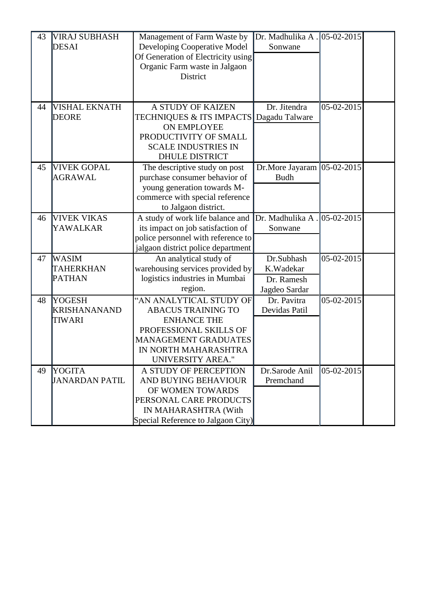| 43 | <b>VIRAJ SUBHASH</b>  | Management of Farm Waste by                                    | Dr. Madhulika A . 05-02-2015 |              |  |
|----|-----------------------|----------------------------------------------------------------|------------------------------|--------------|--|
|    | <b>DESAI</b>          | Developing Cooperative Model                                   | Sonwane                      |              |  |
|    |                       | Of Generation of Electricity using                             |                              |              |  |
|    |                       | Organic Farm waste in Jalgaon<br>District                      |                              |              |  |
|    |                       |                                                                |                              |              |  |
|    |                       |                                                                |                              |              |  |
| 44 | VISHAL EKNATH         | A STUDY OF KAIZEN                                              | Dr. Jitendra                 | 05-02-2015   |  |
|    | DEORE                 | TECHNIQUES & ITS IMPACTS                                       | Dagadu Talware               |              |  |
|    |                       | <b>ON EMPLOYEE</b>                                             |                              |              |  |
|    |                       | PRODUCTIVITY OF SMALL                                          |                              |              |  |
|    |                       | <b>SCALE INDUSTRIES IN</b>                                     |                              |              |  |
|    |                       | <b>DHULE DISTRICT</b>                                          |                              |              |  |
| 45 | <b>VIVEK GOPAL</b>    | The descriptive study on post                                  | Dr.More Jayaram              | $05-02-2015$ |  |
|    | <b>AGRAWAL</b>        | purchase consumer behavior of                                  | <b>Budh</b>                  |              |  |
|    |                       | young generation towards M-<br>commerce with special reference |                              |              |  |
|    |                       | to Jalgaon district.                                           |                              |              |  |
| 46 | <b>VIVEK VIKAS</b>    | A study of work life balance and                               | Dr. Madhulika A.             | 05-02-2015   |  |
|    | YAWALKAR              | its impact on job satisfaction of                              | Sonwane                      |              |  |
|    |                       | police personnel with reference to                             |                              |              |  |
|    |                       | jalgaon district police department                             |                              |              |  |
| 47 | <b>WASIM</b>          | An analytical study of                                         | Dr.Subhash                   | 05-02-2015   |  |
|    | TAHERKHAN             | warehousing services provided by                               | K.Wadekar                    |              |  |
|    | <b>PATHAN</b>         | logistics industries in Mumbai                                 | Dr. Ramesh                   |              |  |
|    |                       | region.                                                        | Jagdeo Sardar                |              |  |
| 48 | <b>YOGESH</b>         | "AN ANALYTICAL STUDY OF                                        | Dr. Pavitra                  | 05-02-2015   |  |
|    | <b>KRISHANANAND</b>   | <b>ABACUS TRAINING TO</b>                                      | Devidas Patil                |              |  |
|    | TIWARI                | <b>ENHANCE THE</b>                                             |                              |              |  |
|    |                       | PROFESSIONAL SKILLS OF                                         |                              |              |  |
|    |                       | <b>MANAGEMENT GRADUATES</b>                                    |                              |              |  |
|    |                       | IN NORTH MAHARASHTRA                                           |                              |              |  |
|    |                       | <b>UNIVERSITY AREA."</b>                                       |                              |              |  |
| 49 | YOGITA                | A STUDY OF PERCEPTION                                          | Dr.Sarode Anil               | 05-02-2015   |  |
|    | <b>JANARDAN PATIL</b> | AND BUYING BEHAVIOUR                                           | Premchand                    |              |  |
|    |                       | OF WOMEN TOWARDS                                               |                              |              |  |
|    |                       | PERSONAL CARE PRODUCTS                                         |                              |              |  |
|    |                       | IN MAHARASHTRA (With                                           |                              |              |  |
|    |                       | Special Reference to Jalgaon City)                             |                              |              |  |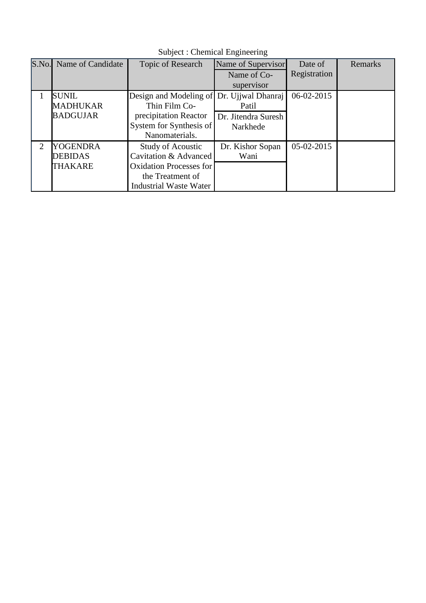| S.No.                       | Name of Candidate | Topic of Research              | Name of Supervisor  | Date of      | Remarks |
|-----------------------------|-------------------|--------------------------------|---------------------|--------------|---------|
|                             |                   |                                | Name of Co-         | Registration |         |
|                             |                   |                                | supervisor          |              |         |
|                             | <b>SUNIL</b>      | Design and Modeling of         | Dr. Ujiwal Dhanraj  | 06-02-2015   |         |
|                             | <b>MADHUKAR</b>   | Thin Film Co-                  | Patil               |              |         |
|                             | <b>BADGUJAR</b>   | precipitation Reactor          | Dr. Jitendra Suresh |              |         |
|                             |                   | System for Synthesis of        | Narkhede            |              |         |
|                             |                   | Nanomaterials.                 |                     |              |         |
| $\mathcal{D}_{\mathcal{L}}$ | <b>YOGENDRA</b>   | <b>Study of Acoustic</b>       | Dr. Kishor Sopan    | $05-02-2015$ |         |
|                             | <b>DEBIDAS</b>    | Cavitation & Advanced          | Wani                |              |         |
|                             | <b>THAKARE</b>    | <b>Oxidation Processes for</b> |                     |              |         |
|                             |                   | the Treatment of               |                     |              |         |
|                             |                   | Industrial Waste Water         |                     |              |         |

Subject : Chemical Engineering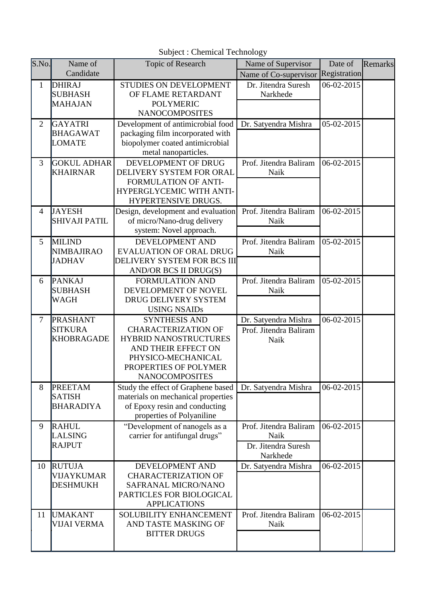| S.No.          | Name of                                                | Topic of Research                                                                                                                                                                 | Name of Supervisor                                                       | Date of          | Remarks |
|----------------|--------------------------------------------------------|-----------------------------------------------------------------------------------------------------------------------------------------------------------------------------------|--------------------------------------------------------------------------|------------------|---------|
|                | Candidate                                              |                                                                                                                                                                                   | Name of Co-supervisor                                                    | Registration     |         |
| $\mathbf{1}$   | <b>DHIRAJ</b><br><b>SUBHASH</b><br><b>MAHAJAN</b>      | STUDIES ON DEVELOPMENT<br>OF FLAME RETARDANT<br><b>POLYMERIC</b><br><b>NANOCOMPOSITES</b>                                                                                         | Dr. Jitendra Suresh<br>Narkhede                                          | 06-02-2015       |         |
| $\overline{2}$ | <b>GAYATRI</b><br><b>BHAGAWAT</b><br><b>LOMATE</b>     | Development of antimicrobial food<br>packaging film incorporated with<br>biopolymer coated antimicrobial<br>metal nanoparticles.                                                  | Dr. Satyendra Mishra                                                     | 05-02-2015       |         |
| $\overline{3}$ | <b>GOKUL ADHAR</b><br><b>KHAIRNAR</b>                  | DEVELOPMENT OF DRUG<br>DELIVERY SYSTEM FOR ORAL<br><b>FORMULATION OF ANTI-</b><br>HYPERGLYCEMIC WITH ANTI-<br>HYPERTENSIVE DRUGS.                                                 | Prof. Jitendra Baliram<br>Naik                                           | 06-02-2015       |         |
| $\overline{4}$ | <b>JAYESH</b><br><b>SHIVAJI PATIL</b>                  | Design, development and evaluation<br>of micro/Nano-drug delivery<br>system: Novel approach.                                                                                      | Prof. Jitendra Baliram<br>Naik                                           | 06-02-2015       |         |
| 5              | <b>MILIND</b><br><b>NIMBAJIRAO</b><br><b>JADHAV</b>    | DEVELOPMENT AND<br><b>EVALUATION OF ORAL DRUG</b><br>DELIVERY SYSTEM FOR BCS III<br>AND/OR BCS II DRUG(S)                                                                         | Prof. Jitendra Baliram<br>Naik                                           | $05 - 02 - 2015$ |         |
| 6              | <b>PANKAJ</b><br><b>SUBHASH</b><br><b>WAGH</b>         | <b>FORMULATION AND</b><br>DEVELOPMENT OF NOVEL<br>DRUG DELIVERY SYSTEM<br><b>USING NSAIDs</b>                                                                                     | Prof. Jitendra Baliram<br>Naik                                           | 05-02-2015       |         |
| $\overline{7}$ | <b>PRASHANT</b><br><b>SITKURA</b><br><b>KHOBRAGADE</b> | <b>SYNTHESIS AND</b><br><b>CHARACTERIZATION OF</b><br><b>HYBRID NANOSTRUCTURES</b><br>AND THEIR EFFECT ON<br>PHYSICO-MECHANICAL<br>PROPERTIES OF POLYMER<br><b>NANOCOMPOSITES</b> | Dr. Satyendra Mishra<br>Prof. Jitendra Baliram<br>Naik                   | 06-02-2015       |         |
| 8              | <b>PREETAM</b><br>SATISH<br><b>BHARADIYA</b>           | Study the effect of Graphene based<br>materials on mechanical properties<br>of Epoxy resin and conducting<br>properties of Polyaniline                                            | Dr. Satyendra Mishra                                                     | 06-02-2015       |         |
| 9              | <b>RAHUL</b><br>LALSING<br><b>RAJPUT</b>               | "Development of nanogels as a<br>carrier for antifungal drugs"                                                                                                                    | Prof. Jitendra Baliram<br><b>Naik</b><br>Dr. Jitendra Suresh<br>Narkhede | $06 - 02 - 2015$ |         |
| 10             | <b>RUTUJA</b><br><b>VIJAYKUMAR</b><br><b>DESHMUKH</b>  | DEVELOPMENT AND<br><b>CHARACTERIZATION OF</b><br>SAFRANAL MICRO/NANO<br>PARTICLES FOR BIOLOGICAL<br><b>APPLICATIONS</b>                                                           | Dr. Satyendra Mishra                                                     | 06-02-2015       |         |
| 11             | <b>UMAKANT</b><br><b>VIJAI VERMA</b>                   | SOLUBILITY ENHANCEMENT<br>AND TASTE MASKING OF<br><b>BITTER DRUGS</b>                                                                                                             | Prof. Jitendra Baliram<br>Naik                                           | 06-02-2015       |         |

Subject : Chemical Technology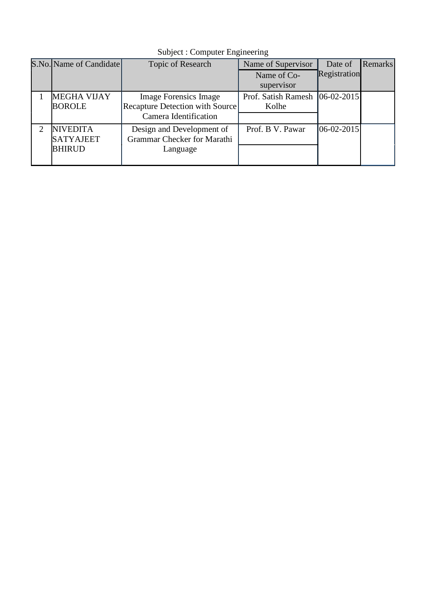| S.No. Name of Candidate | <b>Topic of Research</b>        | Name of Supervisor  | Date of        | <b>Remarks</b> |
|-------------------------|---------------------------------|---------------------|----------------|----------------|
|                         |                                 | Name of Co-         | Registration   |                |
|                         |                                 | supervisor          |                |                |
| <b>MEGHA VIJAY</b>      | <b>Image Forensics Image</b>    | Prof. Satish Ramesh | $ 06-02-2015 $ |                |
| <b>BOROLE</b>           | Recapture Detection with Source | Kolhe               |                |                |
|                         | Camera Identification           |                     |                |                |
| <b>NIVEDITA</b>         | Design and Development of       | Prof. B V. Pawar    | $ 06-02-2015 $ |                |
| <b>SATYAJEET</b>        | Grammar Checker for Marathi     |                     |                |                |
| <b>BHIRUD</b>           | Language                        |                     |                |                |
|                         |                                 |                     |                |                |

Subject : Computer Engineering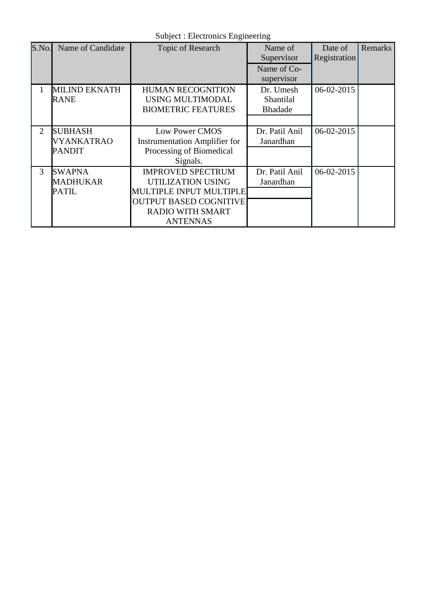Subject : Electronics Engineering

| S.No. | Name of Candidate                                    | Topic of Research                                                                                                                                       | Name of<br>Supervisor                    | Date of<br>Registration | Remarks |
|-------|------------------------------------------------------|---------------------------------------------------------------------------------------------------------------------------------------------------------|------------------------------------------|-------------------------|---------|
|       |                                                      |                                                                                                                                                         | Name of Co-<br>supervisor                |                         |         |
| 1     | <b>MILIND EKNATH</b><br><b>RANE</b>                  | <b>HUMAN RECOGNITION</b><br>USING MULTIMODAL<br><b>BIOMETRIC FEATURES</b>                                                                               | Dr. Umesh<br>Shantilal<br><b>Bhadade</b> | $06 - 02 - 2015$        |         |
| 2     | <b>SUBHASH</b><br><b>VYANKATRAO</b><br><b>PANDIT</b> | <b>Low Power CMOS</b><br><b>Instrumentation Amplifier for</b><br>Processing of Biomedical<br>Signals.                                                   | Dr. Patil Anil<br>Janardhan              | 06-02-2015              |         |
| 3     | <b>SWAPNA</b><br>MADHUKAR<br>PATIL                   | <b>IMPROVED SPECTRUM</b><br>UTILIZATION USING<br>MULTIPLE INPUT MULTIPLE<br><b>OUTPUT BASED COGNITIVE</b><br><b>RADIO WITH SMART</b><br><b>ANTENNAS</b> | Dr. Patil Anil<br>Janardhan              | 06-02-2015              |         |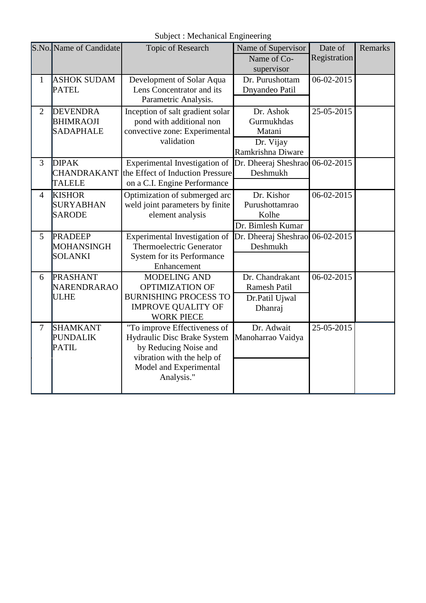Subject : Mechanical Engineering

|                | S.No. Name of Candidate                                 | Topic of Research                                                                                                                                          | Name of Supervisor                                                  | Date of      | <b>Remarks</b> |
|----------------|---------------------------------------------------------|------------------------------------------------------------------------------------------------------------------------------------------------------------|---------------------------------------------------------------------|--------------|----------------|
|                |                                                         |                                                                                                                                                            | Name of Co-<br>supervisor                                           | Registration |                |
| $\mathbf{1}$   | <b>ASHOK SUDAM</b><br><b>PATEL</b>                      | Development of Solar Aqua<br>Lens Concentrator and its<br>Parametric Analysis.                                                                             | Dr. Purushottam<br>Dnyandeo Patil                                   | 06-02-2015   |                |
| $\overline{2}$ | <b>DEVENDRA</b><br><b>BHIMRAOJI</b><br><b>SADAPHALE</b> | Inception of salt gradient solar<br>pond with additional non<br>convective zone: Experimental<br>validation                                                | Dr. Ashok<br>Gurmukhdas<br>Matani<br>Dr. Vijay<br>Ramkrishna Diware | 25-05-2015   |                |
| $\overline{3}$ | <b>DIPAK</b><br><b>CHANDRAKANT</b><br><b>TALELE</b>     | Experimental Investigation of<br>the Effect of Induction Pressure<br>on a C.I. Engine Performance                                                          | Dr. Dheeraj Sheshrao<br>Deshmukh                                    | 06-02-2015   |                |
| $\overline{4}$ | <b>KISHOR</b><br><b>SURYABHAN</b><br><b>SARODE</b>      | Optimization of submerged arc<br>weld joint parameters by finite<br>element analysis                                                                       | Dr. Kishor<br>Purushottamrao<br>Kolhe<br>Dr. Bimlesh Kumar          | 06-02-2015   |                |
| 5              | <b>PRADEEP</b><br><b>MOHANSINGH</b><br>SOLANKI          | Experimental Investigation of<br><b>Thermoelectric Generator</b><br>System for its Performance<br>Enhancement                                              | Dr. Dheeraj Sheshrao<br>Deshmukh                                    | 06-02-2015   |                |
| 6              | <b>PRASHANT</b><br>NARENDRARAO<br><b>ULHE</b>           | <b>MODELING AND</b><br><b>OPTIMIZATION OF</b><br><b>BURNISHING PROCESS TO</b><br><b>IMPROVE QUALITY OF</b><br><b>WORK PIECE</b>                            | Dr. Chandrakant<br><b>Ramesh Patil</b><br>Dr.Patil Ujwal<br>Dhanraj | 06-02-2015   |                |
| $\overline{7}$ | <b>SHAMKANT</b><br><b>PUNDALIK</b><br><b>PATIL</b>      | "To improve Effectiveness of<br>Hydraulic Disc Brake System<br>by Reducing Noise and<br>vibration with the help of<br>Model and Experimental<br>Analysis." | Dr. Adwait<br>Manoharrao Vaidya                                     | 25-05-2015   |                |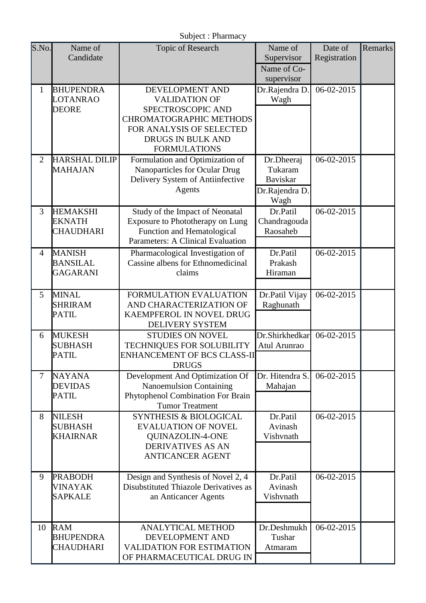|                |                                                      | Subject: Pharmacy                                                                                                                                                             |                                                                    |                         |                |
|----------------|------------------------------------------------------|-------------------------------------------------------------------------------------------------------------------------------------------------------------------------------|--------------------------------------------------------------------|-------------------------|----------------|
| S.No.          | Name of<br>Candidate                                 | Topic of Research                                                                                                                                                             | Name of<br>Supervisor<br>Name of Co-<br>supervisor                 | Date of<br>Registration | <b>Remarks</b> |
| $\mathbf{1}$   | <b>BHUPENDRA</b><br>LOTANRAO<br><b>DEORE</b>         | DEVELOPMENT AND<br><b>VALIDATION OF</b><br>SPECTROSCOPIC AND<br><b>CHROMATOGRAPHIC METHODS</b><br>FOR ANALYSIS OF SELECTED<br><b>DRUGS IN BULK AND</b><br><b>FORMULATIONS</b> | Dr.Rajendra D.<br>Wagh                                             | 06-02-2015              |                |
| $\overline{2}$ | <b>HARSHAL DILIP</b><br><b>MAHAJAN</b>               | Formulation and Optimization of<br>Nanoparticles for Ocular Drug<br>Delivery System of Antiinfective<br>Agents                                                                | Dr.Dheeraj<br>Tukaram<br><b>Baviskar</b><br>Dr.Rajendra D.<br>Wagh | 06-02-2015              |                |
| 3              | <b>HEMAKSHI</b><br><b>EKNATH</b><br><b>CHAUDHARI</b> | Study of the Impact of Neonatal<br>Exposure to Phototherapy on Lung<br>Function and Hematological<br>Parameters: A Clinical Evaluation                                        | Dr.Patil<br>Chandragouda<br>Raosaheb                               | 06-02-2015              |                |
| $\overline{4}$ | <b>MANISH</b><br><b>BANSILAL</b><br><b>GAGARANI</b>  | Pharmacological Investigation of<br>Cassine albens for Ethnomedicinal<br>claims                                                                                               | Dr.Patil<br>Prakash<br>Hiraman                                     | 06-02-2015              |                |
| 5              | <b>MINAL</b><br><b>SHRIRAM</b><br><b>PATIL</b>       | FORMULATION EVALUATION<br>AND CHARACTERIZATION OF<br>KAEMPFEROL IN NOVEL DRUG<br><b>DELIVERY SYSTEM</b>                                                                       | Dr.Patil Vijay<br>Raghunath                                        | 06-02-2015              |                |
| 6              | <b>MUKESH</b><br><b>SUBHASH</b><br>PATIL             | <b>STUDIES ON NOVEL</b><br>TECHNIQUES FOR SOLUBILITY<br><b>ENHANCEMENT OF BCS CLASS-II</b><br><b>DRUGS</b>                                                                    | Dr.Shirkhedkar<br>Atul Arunrao                                     | 06-02-2015              |                |
| $\overline{7}$ | <b>NAYANA</b><br><b>DEVIDAS</b><br><b>PATIL</b>      | Development And Optimization Of<br><b>Nanoemulsion Containing</b><br>Phytophenol Combination For Brain<br><b>Tumor Treatment</b>                                              | Dr. Hitendra S.<br>Mahajan                                         | 06-02-2015              |                |
| 8              | <b>NILESH</b><br><b>SUBHASH</b><br><b>KHAIRNAR</b>   | <b>SYNTHESIS &amp; BIOLOGICAL</b><br><b>EVALUATION OF NOVEL</b><br>QUINAZOLIN-4-ONE<br><b>DERIVATIVES AS AN</b><br><b>ANTICANCER AGENT</b>                                    | Dr.Patil<br>Avinash<br>Vishvnath                                   | 06-02-2015              |                |
| 9              | <b>PRABODH</b><br>VINAYAK<br><b>SAPKALE</b>          | Design and Synthesis of Novel 2, 4<br><b>Disubstituted Thiazole Derivatives as</b><br>an Anticancer Agents                                                                    | Dr.Patil<br>Avinash<br>Vishvnath                                   | 06-02-2015              |                |
| 10             | <b>RAM</b><br><b>BHUPENDRA</b><br><b>CHAUDHARI</b>   | <b>ANALYTICAL METHOD</b><br>DEVELOPMENT AND<br>VALIDATION FOR ESTIMATION<br>OF PHARMACEUTICAL DRUG IN                                                                         | Dr.Deshmukh<br>Tushar<br>Atmaram                                   | 06-02-2015              |                |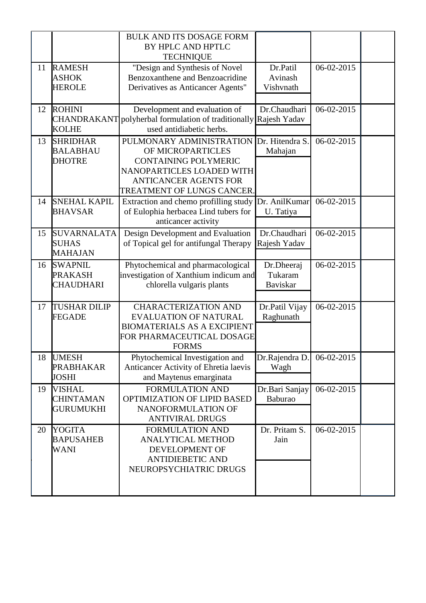|    |                                                       | <b>BULK AND ITS DOSAGE FORM</b><br>BY HPLC AND HPTLC<br><b>TECHNIQUE</b>                                                                                                |                                          |            |  |
|----|-------------------------------------------------------|-------------------------------------------------------------------------------------------------------------------------------------------------------------------------|------------------------------------------|------------|--|
| 11 | <b>RAMESH</b><br><b>ASHOK</b><br><b>HEROLE</b>        | "Design and Synthesis of Novel<br>Benzoxanthene and Benzoacridine<br>Derivatives as Anticancer Agents"                                                                  | Dr.Patil<br>Avinash<br>Vishvnath         | 06-02-2015 |  |
| 12 | <b>ROHINI</b><br>CHANDRAKANT<br><b>KOLHE</b>          | Development and evaluation of<br>polyherbal formulation of traditionally<br>used antidiabetic herbs.                                                                    | Dr.Chaudhari<br>Rajesh Yadav             | 06-02-2015 |  |
| 13 | <b>SHRIDHAR</b><br><b>BALABHAU</b><br><b>DHOTRE</b>   | PULMONARY ADMINISTRATION<br>OF MICROPARTICLES<br><b>CONTAINING POLYMERIC</b><br>NANOPARTICLES LOADED WITH<br><b>ANTICANCER AGENTS FOR</b><br>TREATMENT OF LUNGS CANCER. | Dr. Hitendra S.<br>Mahajan               | 06-02-2015 |  |
| 14 | <b>SNEHAL KAPIL</b><br><b>BHAVSAR</b>                 | Extraction and chemo profilling study<br>of Eulophia herbacea Lind tubers for<br>anticancer activity                                                                    | Dr. AnilKumar<br>U. Tatiya               | 06-02-2015 |  |
| 15 | <b>SUVARNALATA</b><br><b>SUHAS</b><br><b>MAHAJAN</b>  | Design Development and Evaluation<br>of Topical gel for antifungal Therapy                                                                                              | Dr.Chaudhari<br>Rajesh Yadav             | 06-02-2015 |  |
| 16 | <b>SWAPNIL</b><br><b>PRAKASH</b><br><b>CHAUDHARI</b>  | Phytochemical and pharmacological<br>investigation of Xanthium indicum and<br>chlorella vulgaris plants                                                                 | Dr.Dheeraj<br>Tukaram<br><b>Baviskar</b> | 06-02-2015 |  |
| 17 | <b>TUSHAR DILIP</b><br><b>FEGADE</b>                  | <b>CHARACTERIZATION AND</b><br><b>EVALUATION OF NATURAL</b><br><b>BIOMATERIALS AS A EXCIPIENT</b><br>FOR PHARMACEUTICAL DOSAGE<br><b>FORMS</b>                          | Dr.Patil Vijay<br>Raghunath              | 06-02-2015 |  |
| 18 | <b>UMESH</b><br><b>PRABHAKAR</b><br><b>JOSHI</b>      | Phytochemical Investigation and<br>Anticancer Activity of Ehretia laevis<br>and Maytenus emarginata                                                                     | Dr.Rajendra D.<br>Wagh                   | 06-02-2015 |  |
| 19 | <b>VISHAL</b><br><b>CHINTAMAN</b><br><b>GURUMUKHI</b> | <b>FORMULATION AND</b><br>OPTIMIZATION OF LIPID BASED<br>NANOFORMULATION OF<br><b>ANTIVIRAL DRUGS</b>                                                                   | Dr.Bari Sanjay<br>Baburao                | 06-02-2015 |  |
| 20 | <b>YOGITA</b><br><b>BAPUSAHEB</b><br>WANI             | <b>FORMULATION AND</b><br><b>ANALYTICAL METHOD</b><br>DEVELOPMENT OF<br><b>ANTIDIEBETIC AND</b><br>NEUROPSYCHIATRIC DRUGS                                               | Dr. Pritam S.<br>Jain                    | 06-02-2015 |  |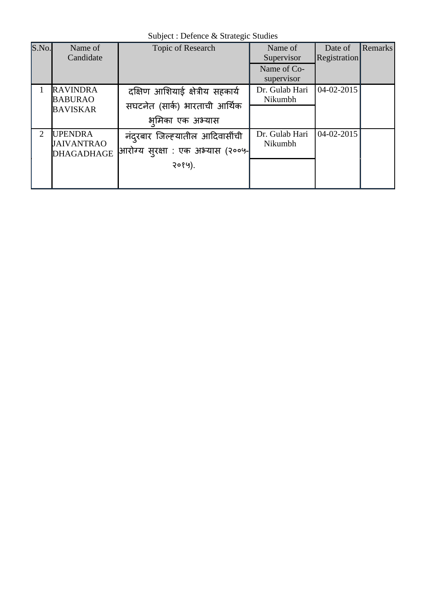Subject : Defence & Strategic Studies

| S.No.                 | Name of<br>Candidate                                     | Topic of Research                                                                   | Name of<br>Supervisor<br>Name of Co-<br>supervisor | Date of<br>Registration | <b>Remarks</b> |
|-----------------------|----------------------------------------------------------|-------------------------------------------------------------------------------------|----------------------------------------------------|-------------------------|----------------|
|                       | <b>RAVINDRA</b><br><b>BABURAO</b><br><b>BAVISKAR</b>     | दक्षिण आशियाई क्षेत्रीय सहकार्य<br>सघटनेत (सार्क) भारताची आर्थिक<br>भमिका एक अभ्यास | Dr. Gulab Hari<br>Nikumbh                          | 04-02-2015              |                |
| $\mathcal{D}_{\cdot}$ | <b>UPENDRA</b><br><b>JAIVANTRAO</b><br><b>DHAGADHAGE</b> | नंदरबार जिल्ह्यातील आदिवासींची<br> आरोग्य सुरक्षा : एक अभ्यास (२००५- <br>२०१५).     | Dr. Gulab Hari<br>Nikumbh                          | 04-02-2015              |                |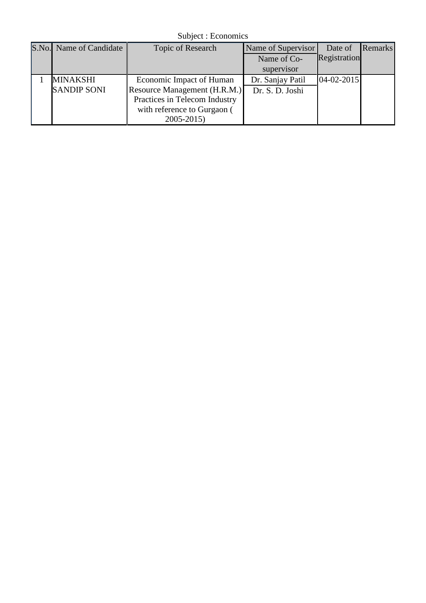Subject : Economics

| S.No. Name of Candidate | Topic of Research             | Name of Supervisor | Date of          | <b>Remarks</b> |
|-------------------------|-------------------------------|--------------------|------------------|----------------|
|                         |                               | Name of Co-        | Registration     |                |
|                         |                               | supervisor         |                  |                |
| MINAKSHI                | Economic Impact of Human      | Dr. Sanjay Patil   | $04 - 02 - 2015$ |                |
| <b>SANDIP SONI</b>      | Resource Management (H.R.M.)  | Dr. S. D. Joshi    |                  |                |
|                         | Practices in Telecom Industry |                    |                  |                |
|                         | with reference to Gurgaon (   |                    |                  |                |
|                         | $2005 - 2015$                 |                    |                  |                |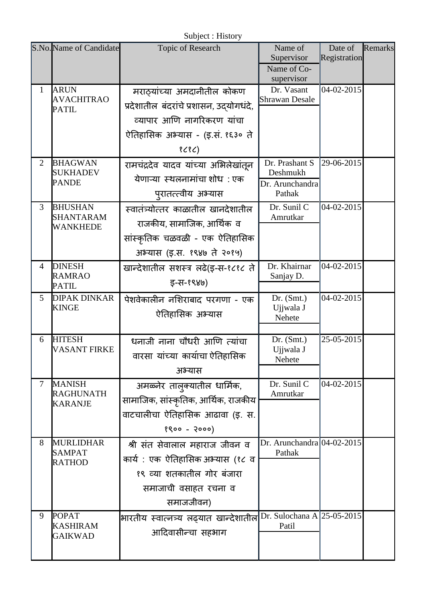|                |                                                     | Subject : History                                                                                                                                          |                                                         |                         |         |
|----------------|-----------------------------------------------------|------------------------------------------------------------------------------------------------------------------------------------------------------------|---------------------------------------------------------|-------------------------|---------|
|                | S.No. Name of Candidate                             | Topic of Research                                                                                                                                          | Name of<br>Supervisor<br>Name of Co-<br>supervisor      | Date of<br>Registration | Remarks |
| $\mathbf{1}$   | <b>ARUN</b><br><b>AVACHITRAO</b><br><b>PATIL</b>    | मराठ्यांच्या अमदानीतील कोकण<br>प्रदेशातील बंदरांचे प्रशासन, उदयोगधंदे,<br>व्यापार आणि नागरिकरण यांचा<br>ऐतिहासिक अभ्यास - (इ.सं. १६३० ते<br>8 <sub>5</sub> | Dr. Vasant<br><b>Shrawan Desale</b>                     | 04-02-2015              |         |
| $\overline{2}$ | <b>BHAGWAN</b><br>SUKHADEV<br><b>PANDE</b>          | रामचंद्रदेव यादव यांच्या अभिलेखांतून<br>येणाऱ्या स्थलनामांचा शोध : एक<br>पुरातत्त्वीय अभ्यास                                                               | Dr. Prashant S<br>Deshmukh<br>Dr. Arunchandra<br>Pathak | 29-06-2015              |         |
| $\overline{3}$ | <b>BHUSHAN</b><br><b>SHANTARAM</b><br>WANKHEDE      | स्वातंत्र्योत्तर काळातील खानदेशातील<br>राजकीय, सामाजिक, आर्थिक  व<br>सांस्कृतिक चळवळी - एक ऐतिहासिक<br>अभ्यास (इ.स. १९४७ ते २०१५)                          | Dr. Sunil C<br>Amrutkar                                 | 04-02-2015              |         |
| $\overline{4}$ | <b>DINESH</b><br><b>RAMRAO</b><br><b>PATIL</b>      | खान्देशातील सशस्त्र लढे(इ-स-१८१८ ते<br>इ-स-१९४७)                                                                                                           | Dr. Khairnar<br>Sanjay D.                               | 04-02-2015              |         |
| 5              | <b>DIPAK DINKAR</b><br><b>KINGE</b>                 | पेशवेकालीन नशिराबाद परगणा - एक<br>ऐतिहासिक अभ्यास                                                                                                          | Dr. (Smt.)<br>Ujjwala J<br>Nehete                       | 04-02-2015              |         |
| 6              | <b>HITESH</b><br>VASANT FIRKE                       | धनाजी नाना चौधरी आणि त्यांचा<br>वारसा यांच्या कार्याचा ऐतिहासिक<br>अभ्यास                                                                                  | Dr. (Smt.)<br>Ujjwala J<br>Nehete                       | 25-05-2015              |         |
| $\overline{7}$ | <b>MANISH</b><br><b>RAGHUNATH</b><br><b>KARANJE</b> | अमळ्नेर तालुक्यातील धार्मिक,<br>सामाजिक, सांस्कृतिक, आर्थिक, राजकीय<br>वाटचालीचा ऐतिहासिक आढावा (इ. स.<br>$8800 - 2000$                                    | Dr. Sunil C<br>Amrutkar                                 | 04-02-2015              |         |
| 8              | <b>MURLIDHAR</b><br><b>SAMPAT</b><br><b>RATHOD</b>  | श्री संत सेवालाल महाराज जीवन व<br>कार्य : एक ऐतिहासिक अभ्यास (१८ व<br>१९ व्या शतकातील गोर बंजारा<br>समाजाची वसाहत रचना व<br>समाजजीवन)                      | Dr. Arunchandra 04-02-2015<br>Pathak                    |                         |         |
| 9              | <b>POPAT</b><br><b>KASHIRAM</b><br><b>GAIKWAD</b>   | भारतीय स्वात्नत्र्य लढ्यात खान्देशातील <br>आदिवासीन्चा सहभाग                                                                                               | Dr. Sulochana A $ 25-05-2015 $<br>Patil                 |                         |         |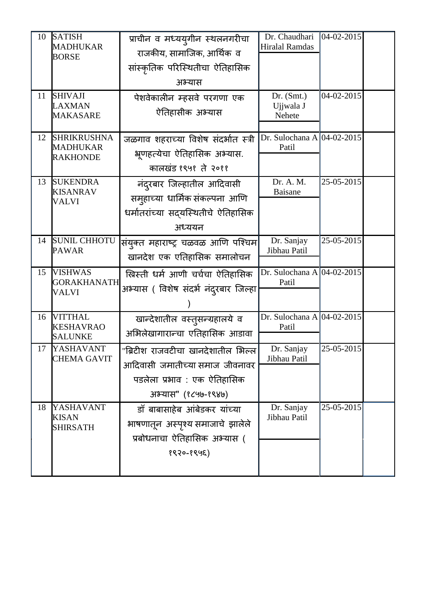| 10 | <b>SATISH</b><br><b>MADHUKAR</b><br><b>BORSE</b>         | प्राचीन व मध्ययुगीन स्थलनगरीचा<br>राजकीय, सामाजिक, आर्थिक व<br>सांस्कृतिक परिस्थितीचा ऐतिहासिक<br>अभ्यास                   | Dr. Chaudhari<br><b>Hiralal Ramdas</b>  | 04-02-2015       |  |
|----|----------------------------------------------------------|----------------------------------------------------------------------------------------------------------------------------|-----------------------------------------|------------------|--|
| 11 | <b>SHIVAJI</b><br><b>LAXMAN</b><br><b>MAKASARE</b>       | पेशवेकालीन म्हसवे परगणा एक<br>ऐतिहासीक अभ्यास                                                                              | Dr. (Smt.)<br>Ujjwala J<br>Nehete       | 04-02-2015       |  |
| 12 | <b>SHRIKRUSHNA</b><br><b>MADHUKAR</b><br><b>RAKHONDE</b> | जळगाव शहराच्या विशेष संदर्भात स्त्री<br>भ्रूणहत्येचा ऐतिहासिक अभ्यास.<br>कालखंड १९५१ ते २०११                               | Dr. Sulochana A $ 04-02-2015 $<br>Patil |                  |  |
| 13 | <b>SUKENDRA</b><br><b>KISANRAV</b><br>VALVI              | नंदरबार जिल्हातील आदिवासी<br>समुहाच्या धार्मिक संकल्पना आणि<br>धर्मातरांच्या सदयस्थितीचे ऐतिहासिक<br>अध्ययन                | Dr. A. M.<br>Baisane                    | 25-05-2015       |  |
| 14 | <b>SUNIL CHHOTU</b><br><b>PAWAR</b>                      | संयुक्त महाराष्ट्र चळवळ आणि पश्चिम <br>खानदेश एक एतिहासिक समालोचन                                                          | Dr. Sanjay<br>Jibhau Patil              | 25-05-2015       |  |
| 15 | <b>VISHWAS</b><br><b>GORAKHANATH</b><br>VALVI            | ख्रिस्ती धर्म आणी चर्चचा ऐतिहासिक<br>अभ्यास ( विशेष संदर्भ नंदुरबार जिल्हा                                                 | Dr. Sulochana A $ 04-02-2015$<br>Patil  |                  |  |
| 16 | <b>VITTHAL</b><br><b>KESHAVRAO</b><br><b>SALUNKE</b>     | खान्देशातील वस्तुसन्ग्रहालये व<br>अभिलेखागारान्चा एतिहासिक आडावा                                                           | Dr. Sulochana A 04-02-2015<br>Patil     |                  |  |
|    | 17 YASHAVANT<br><b>CHEMA GAVIT</b>                       | "ब्रिटीश राजवटीचा खानदेशातील भिल्ल<br>आदिवासी जमातीच्या समाज जीवनावर<br>पडलेला प्रभाव : एक ऐतिहासिक<br>अभ्यास" (१८५७-१९४७) | Dr. Sanjay<br>Jibhau Patil              | $25 - 05 - 2015$ |  |
| 18 | YASHAVANT<br><b>KISAN</b><br><b>SHIRSATH</b>             | डॉ बाबासाहेब आंबेडकर यांच्या<br>भाषणातून अस्पृश्य समाजाचे झालेले<br>प्रबोधनाचा ऐतिहासिक अभ्यास (<br>१९२०-१९५६)             | Dr. Sanjay<br>Jibhau Patil              | 25-05-2015       |  |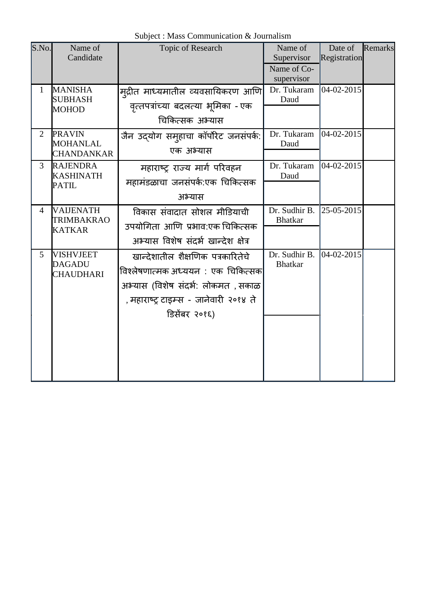Subject : Mass Communication & Journalism

| S.No.          | Name of<br>Candidate                                   | Topic of Research                                                                                                                                                        | Name of<br>Supervisor<br>Name of Co-<br>supervisor | Date of<br>Registration | Remarks |
|----------------|--------------------------------------------------------|--------------------------------------------------------------------------------------------------------------------------------------------------------------------------|----------------------------------------------------|-------------------------|---------|
| $\mathbf{1}$   | <b>MANISHA</b><br><b>SUBHASH</b><br><b>MOHOD</b>       | म् <b>द्रीत माध्यमातील व्यवसायिकरण आणि</b><br>वृत्तपत्रांच्या बदलत्या भूमिका - एक<br>चिकित्सक अभ्यास                                                                     | Dr. Tukaram<br>Daud                                | 04-02-2015              |         |
| $\overline{2}$ | <b>PRAVIN</b><br><b>MOHANLAL</b><br><b>CHANDANKAR</b>  | जैन उद्योग समुहाचा कॉर्पोरेट जनसंपर्क:<br>एक अभ्यास                                                                                                                      | Dr. Tukaram<br>Daud                                | 04-02-2015              |         |
| 3              | <b>RAJENDRA</b><br><b>KASHINATH</b><br><b>PATIL</b>    | महाराष्ट्र राज्य मार्ग परिवहन<br>महामंडळाचा जनसंपर्क:एक चिकित्सक<br>अभ्यास                                                                                               | Dr. Tukaram<br>Daud                                | 04-02-2015              |         |
| 4              | <b>VAIJENATH</b><br><b>TRIMBAKRAO</b><br><b>KATKAR</b> | विकास संवादात सोशल मीडियाची<br>उपयोगिता आणि प्रभाव:एक चिकित्सक<br>अभ्यास विशेष संदर्भ खान्देश क्षेत्र                                                                    | Dr. Sudhir B.<br><b>Bhatkar</b>                    | 25-05-2015              |         |
| 5              | <b>VISHVJEET</b><br><b>DAGADU</b><br><b>CHAUDHARI</b>  | खान्देशातील शैक्षणिक पत्रकारितेचे<br>विश्लेषणात्मक अध्ययन : एक चिकित्सक<br>अभ्यास (विशेष संदर्भ: लोकमत , सकाळ<br>, महाराष्ट्र टाइम्स - जानेवारी २०१४ ते<br>डिसेंबर २०१६) | Dr. Sudhir B.<br><b>Bhatkar</b>                    | 04-02-2015              |         |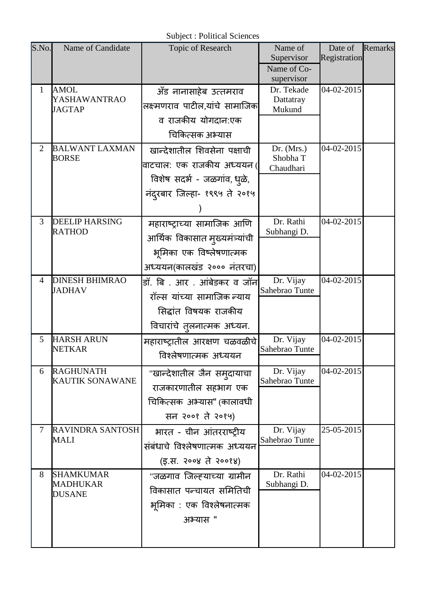| Date of<br>Remarks |
|--------------------|
| Registration       |
|                    |
| 04-02-2015         |
|                    |
|                    |
|                    |
|                    |
| 04-02-2015         |
|                    |
|                    |
|                    |
|                    |
| 04-02-2015         |
|                    |
|                    |
|                    |
| 04-02-2015         |
|                    |
|                    |
|                    |
|                    |
| 04-02-2015         |
|                    |
| 04-02-2015         |
|                    |
|                    |
|                    |
| 25-05-2015         |
|                    |
|                    |
| $04 - 02 - 2015$   |
|                    |
|                    |
|                    |
|                    |
|                    |
|                    |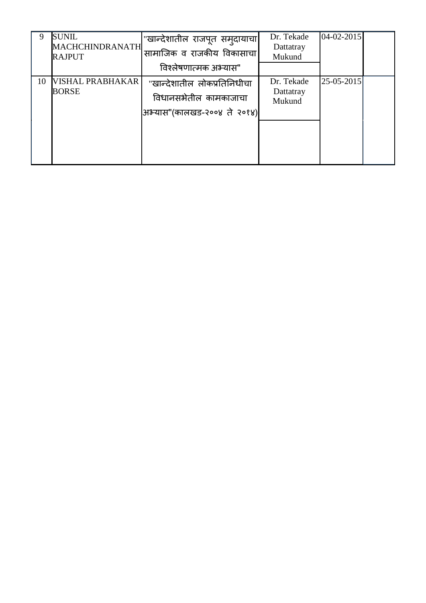| 9  | <b>SUNIL</b><br><b>MACHCHINDRANATH</b><br><b>RAJPUT</b> | "खान्देशातील राजपूत समुदायाचा <br>सामाजिक व राजकीय विकासाचा<br>विश्लेषणात्मक अभ्यास" | Dr. Tekade<br>Dattatray<br>Mukund | $04 - 02 - 2015$ |  |
|----|---------------------------------------------------------|--------------------------------------------------------------------------------------|-----------------------------------|------------------|--|
| 10 | VISHAL PRABHAKAR<br><b>BORSE</b>                        | "खान्देशातील लोकप्रतिनिधीचा<br>विधानसभेतील कामकाजाचा<br>अभ्यास"(कालखड-२००४ ते २०१४)  | Dr. Tekade<br>Dattatray<br>Mukund | 25-05-2015       |  |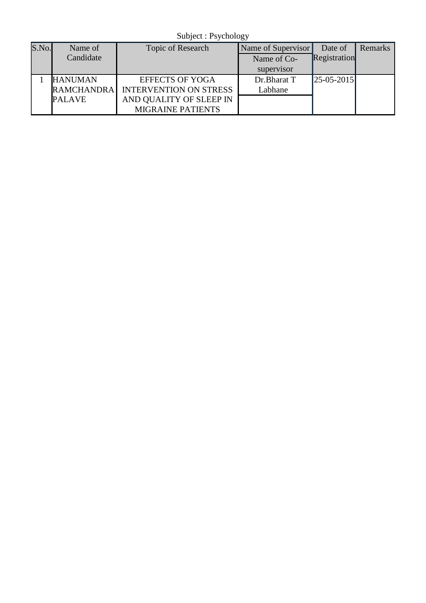Subject : Psychology

| S.No. | Name of           | Topic of Research             | Name of Supervisor | Date of        | Remarks |
|-------|-------------------|-------------------------------|--------------------|----------------|---------|
|       | Candidate         |                               | Name of Co-        | Registration   |         |
|       |                   |                               | supervisor         |                |         |
|       | <b>HANUMAN</b>    | <b>EFFECTS OF YOGA</b>        | Dr.Bharat T        | $ 25-05-2015 $ |         |
|       | <b>RAMCHANDRA</b> | <b>INTERVENTION ON STRESS</b> | Labhane            |                |         |
|       | <b>PALAVE</b>     | AND QUALITY OF SLEEP IN       |                    |                |         |
|       |                   | <b>MIGRAINE PATIENTS</b>      |                    |                |         |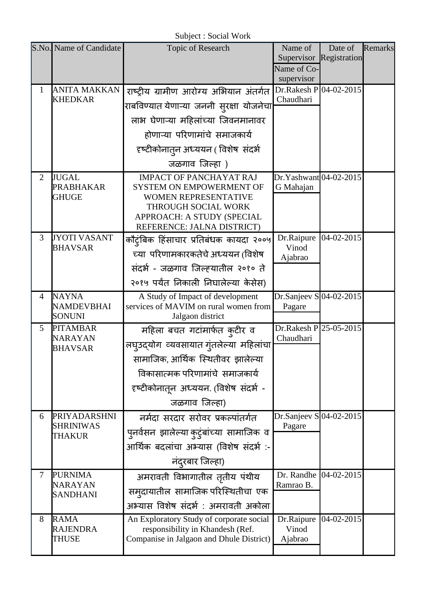Subject : Social Work

|                | S.No. Name of Candidate           | Topic of Research                                                            | Name of                                | Date of                 | Remarks |
|----------------|-----------------------------------|------------------------------------------------------------------------------|----------------------------------------|-------------------------|---------|
|                |                                   |                                                                              |                                        | Supervisor Registration |         |
|                |                                   |                                                                              | Name of Co-                            |                         |         |
| 1              | <b>ANITA MAKKAN</b>               |                                                                              | supervisor<br>$Dr.Rakesh P 04-02-2015$ |                         |         |
|                | <b>KHEDKAR</b>                    | राष्ट्रीय ग्रामीण आरोग्य अभियान अंतर्गत                                      | Chaudhari                              |                         |         |
|                |                                   | राबविण्यात येणाऱ्या जननी स् <b>रक्षा योजनेचा</b>                             |                                        |                         |         |
|                |                                   | लाभ घेणाऱ्या महिलांच्या जिवनमानावर                                           |                                        |                         |         |
|                |                                   | होणाऱ्या परिणामांचे समाजकार्य                                                |                                        |                         |         |
|                |                                   | दृष्टीकोनातुन अध्ययन ( विशेष  संदर्भ                                         |                                        |                         |         |
|                |                                   | जळगाव जिल्हा )                                                               |                                        |                         |         |
| $\overline{2}$ | <b>JUGAL</b>                      | <b>IMPACT OF PANCHAYAT RAJ</b>                                               | Dr.Yashwant 04-02-2015                 |                         |         |
|                | <b>PRABHAKAR</b><br><b>GHUGE</b>  | <b>SYSTEM ON EMPOWERMENT OF</b><br><b>WOMEN REPRESENTATIVE</b>               | G Mahajan                              |                         |         |
|                |                                   | THROUGH SOCIAL WORK                                                          |                                        |                         |         |
|                |                                   | APPROACH: A STUDY (SPECIAL                                                   |                                        |                         |         |
| 3              | <b>JYOTI VASANT</b>               | REFERENCE: JALNA DISTRICT)                                                   | Dr.Raipure                             | 04-02-2015              |         |
|                | <b>BHAVSAR</b>                    | कौट्ंबिक हिंसाचार प्रतिबंधक कायदा २००५                                       | Vinod                                  |                         |         |
|                |                                   | च्या परिणामकारकतेचे अध्ययन (विशेष                                            | Ajabrao                                |                         |         |
|                |                                   | संदर्भ - जळगाव जिल्ह्यातील २०१० ते                                           |                                        |                         |         |
|                |                                   | २०१५ पर्यंत निकाली निघालेल्या केसेस)                                         |                                        |                         |         |
| $\overline{4}$ | <b>NAYNA</b><br><b>NAMDEVBHAI</b> | A Study of Impact of development<br>services of MAVIM on rural women from    | Dr.Sanjeev $S$ 04-02-2015              |                         |         |
|                | <b>SONUNI</b>                     | Jalgaon district                                                             | Pagare                                 |                         |         |
| 5              | <b>PITAMBAR</b>                   | महिला बचत गटांमार्फत क़्टीर व                                                | $Dr.Rakesh P 25-05-2015$               |                         |         |
|                | <b>NARAYAN</b><br><b>BHAVSAR</b>  | लघुउद्योग व्यवसायात गुंतलेल्या महिलांचा                                      | Chaudhari                              |                         |         |
|                |                                   | सामाजिक, आर्थिक स्थितीवर झालेल्या                                            |                                        |                         |         |
|                |                                   | विकासात्मक परिणामांचे  समाजकार्य                                             |                                        |                         |         |
|                |                                   | दृष्टीकोनातून अध्ययन. (विशेष संदर्भ -                                        |                                        |                         |         |
|                |                                   | जळगाव जिल्हा)                                                                |                                        |                         |         |
| 6              | PRIYADARSHNI                      | नर्मदा सरदार सरोवर प्रकल्पांतर्गत                                            | Dr.Sanjeev S $ 04-02-2015 $            |                         |         |
|                | <b>SHRINIWAS</b>                  |                                                                              | Pagare                                 |                         |         |
|                | <b>THAKUR</b>                     | पुनर्वसन झालेल्या कुटुंबांच्या सामाजिक व                                     |                                        |                         |         |
|                |                                   | आर्थिक बदलांचा अभ्यास (विशेष संदर्भ :-                                       |                                        |                         |         |
|                |                                   | नंदरबार जिल्हा)                                                              |                                        |                         |         |
| 7              | <b>PURNIMA</b><br><b>NARAYAN</b>  | अमरावती विभागातील तृतीय पंथीय                                                | Dr. Randhe<br>Ramrao B.                | 04-02-2015              |         |
|                | <b>SANDHANI</b>                   | सम् दायातील सामाजिक परिस्थितीचा एक                                           |                                        |                         |         |
|                |                                   | अभ्यास विशेष संदर्भ : अमरावती अकोला                                          |                                        |                         |         |
| 8              | <b>RAMA</b>                       | An Exploratory Study of corporate social                                     | Dr.Raipure                             | 04-02-2015              |         |
|                | <b>RAJENDRA</b><br><b>THUSE</b>   | responsibility in Khandesh (Ref.<br>Companise in Jalgaon and Dhule District) | Vinod<br>Ajabrao                       |                         |         |
|                |                                   |                                                                              |                                        |                         |         |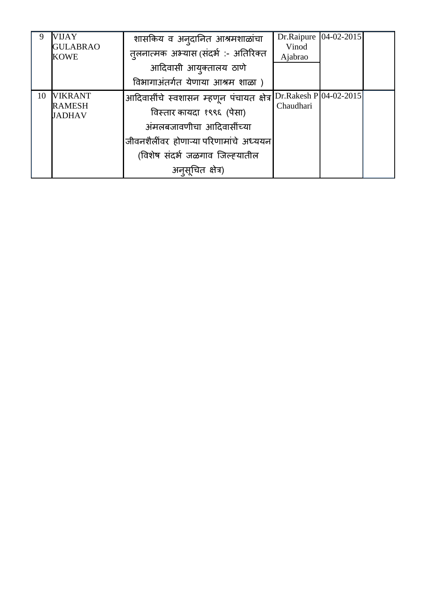| 9  | VIJAY                           | शासकिय व अन्दानित आश्रमशाळांचा           | Dr.Raipure                           | $04 - 02 - 2015$ |  |
|----|---------------------------------|------------------------------------------|--------------------------------------|------------------|--|
|    | <b>GULABRAO</b><br><b>KOWE</b>  | त्तलनात्मक अभ्यास (संदर्भ :- अतिरिक्त    | Vinod<br>Ajabrao                     |                  |  |
|    |                                 | आदिवासी आयुक्तालय ठाणे                   |                                      |                  |  |
|    |                                 | विभागाअंतर्गत येणाया आश्रम शाळा )        |                                      |                  |  |
| 10 | <b>VIKRANT</b><br><b>RAMESH</b> | आदिवासींचे स्वशासन म्हणून पंचायत क्षेत्र | Dr.Rakesh P 04-02-2015 <br>Chaudhari |                  |  |
|    | <b>JADHAV</b>                   | विस्तार कायदा १९९६ (पेसा)                |                                      |                  |  |
|    |                                 | अंमलबजावणीचा आदिवासींच्या                |                                      |                  |  |
|    |                                 | जीवनशैलींवर होणाऱ्या परिणामांचे अध्ययन   |                                      |                  |  |
|    |                                 | (विशेष संदर्भ जळगाव जिल्ह्यातील          |                                      |                  |  |
|    |                                 | अनुसूचित क्षेत्र)                        |                                      |                  |  |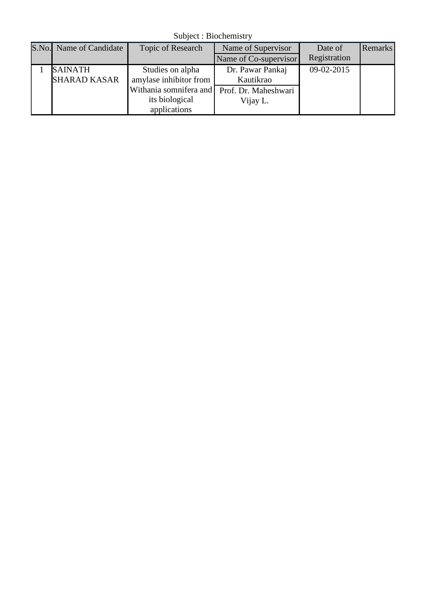Subject : Biochemistry

| S.No. Name of Candidate | Topic of Research      | Name of Supervisor    | Date of      | <b>Remarks</b> |
|-------------------------|------------------------|-----------------------|--------------|----------------|
|                         |                        | Name of Co-supervisor | Registration |                |
| <b>SAINATH</b>          | Studies on alpha       | Dr. Pawar Pankaj      | 09-02-2015   |                |
| <b>SHARAD KASAR</b>     | amylase inhibitor from | Kautikrao             |              |                |
|                         | Withania somnifera and | Prof. Dr. Maheshwari  |              |                |
|                         | its biological         | Vijay L.              |              |                |
|                         | applications           |                       |              |                |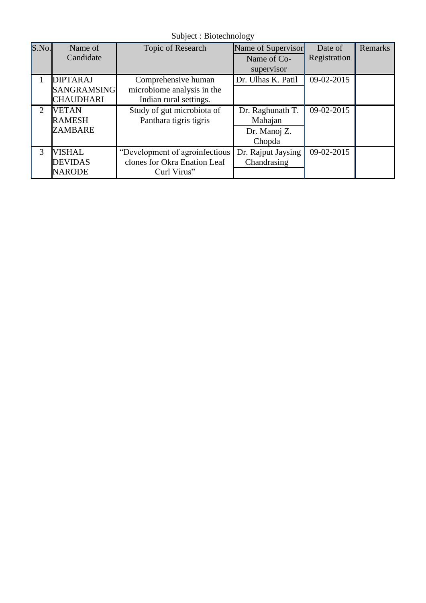Subject : Biotechnology

| S.No. | Name of            | Topic of Research              | Name of Supervisor | Date of      | Remarks |
|-------|--------------------|--------------------------------|--------------------|--------------|---------|
|       | Candidate          |                                | Name of Co-        | Registration |         |
|       |                    |                                | supervisor         |              |         |
|       | <b>DIPTARAJ</b>    | Comprehensive human            | Dr. Ulhas K. Patil | 09-02-2015   |         |
|       | <b>SANGRAMSING</b> | microbiome analysis in the     |                    |              |         |
|       | <b>CHAUDHARI</b>   | Indian rural settings.         |                    |              |         |
| 2     | <b>VETAN</b>       | Study of gut microbiota of     | Dr. Raghunath T.   | 09-02-2015   |         |
|       | <b>RAMESH</b>      | Panthara tigris tigris         | Mahajan            |              |         |
|       | <b>ZAMBARE</b>     |                                | Dr. Manoj Z.       |              |         |
|       |                    |                                | Chopda             |              |         |
| 3     | <b>VISHAL</b>      | "Development of agroinfectious | Dr. Rajput Jaysing | 09-02-2015   |         |
|       | <b>DEVIDAS</b>     | clones for Okra Enation Leaf   | Chandrasing        |              |         |
|       | <b>NARODE</b>      | Curl Virus"                    |                    |              |         |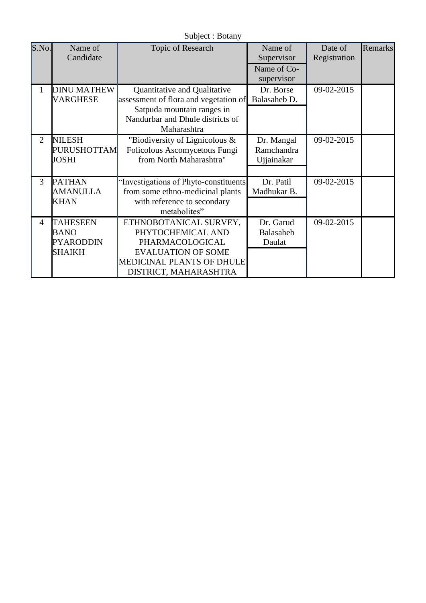| S.No.          | Name of<br>Candidate                                                | Topic of Research                                                                                                                                        | Name of<br>Supervisor                  | Date of<br>Registration | Remarks |
|----------------|---------------------------------------------------------------------|----------------------------------------------------------------------------------------------------------------------------------------------------------|----------------------------------------|-------------------------|---------|
|                |                                                                     |                                                                                                                                                          | Name of Co-<br>supervisor              |                         |         |
| 1              | <b>DINU MATHEW</b><br><b>VARGHESE</b>                               | Quantitative and Qualitative<br>assessment of flora and vegetation of<br>Satpuda mountain ranges in<br>Nandurbar and Dhule districts of<br>Maharashtra   | Dr. Borse<br>Balasaheb D.              | 09-02-2015              |         |
| $\mathfrak{2}$ | <b>NILESH</b><br><b>PURUSHOTTAM</b><br><b>JOSHI</b>                 | "Biodiversity of Lignicolous $\&$<br>Folicolous Ascomycetous Fungi<br>from North Maharashtra"                                                            | Dr. Mangal<br>Ramchandra<br>Ujjainakar | 09-02-2015              |         |
| 3              | <b>PATHAN</b><br><b>AMANULLA</b><br><b>KHAN</b>                     | 'Investigations of Phyto-constituents<br>from some ethno-medicinal plants<br>with reference to secondary<br>metabolites"                                 | Dr. Patil<br>Madhukar B.               | 09-02-2015              |         |
| 4              | <b>TAHESEEN</b><br><b>BANO</b><br><b>PYARODDIN</b><br><b>SHAIKH</b> | ETHNOBOTANICAL SURVEY,<br>PHYTOCHEMICAL AND<br>PHARMACOLOGICAL<br><b>EVALUATION OF SOME</b><br><b>MEDICINAL PLANTS OF DHULE</b><br>DISTRICT, MAHARASHTRA | Dr. Garud<br>Balasaheb<br>Daulat       | 09-02-2015              |         |

Subject : Botany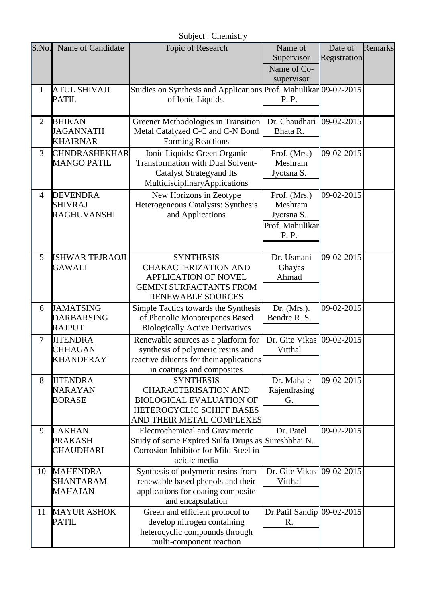Subject : Chemistry

| S.No.          | Name of Candidate                                       | <b>Topic of Research</b>                                                                                                                              | Name of<br>Supervisor<br>Name of Co-<br>supervisor                | Date of<br>Registration | Remarks |
|----------------|---------------------------------------------------------|-------------------------------------------------------------------------------------------------------------------------------------------------------|-------------------------------------------------------------------|-------------------------|---------|
| $\mathbf{1}$   | <b>ATUL SHIVAJI</b><br><b>PATIL</b>                     | Studies on Synthesis and Applications Prof. Mahulikar 09-02-2015<br>of Ionic Liquids.                                                                 | P. P.                                                             |                         |         |
| $\overline{2}$ | <b>BHIKAN</b><br><b>JAGANNATH</b><br><b>KHAIRNAR</b>    | Greener Methodologies in Transition<br>Metal Catalyzed C-C and C-N Bond<br>Forming Reactions                                                          | Dr. Chaudhari $ 09-02-2015 $<br>Bhata R.                          |                         |         |
| 3              | <b>CHNDRASHEKHAR</b><br><b>MANGO PATIL</b>              | Ionic Liquids: Green Organic<br><b>Transformation with Dual Solvent-</b><br><b>Catalyst Strategyand Its</b><br>MultidisciplinaryApplications          | Prof. (Mrs.)<br>Meshram<br>Jyotsna S.                             | 09-02-2015              |         |
| $\overline{4}$ | <b>DEVENDRA</b><br><b>SHIVRAJ</b><br><b>RAGHUVANSHI</b> | New Horizons in Zeotype<br>Heterogeneous Catalysts: Synthesis<br>and Applications                                                                     | Prof. (Mrs.)<br>Meshram<br>Jyotsna S.<br>Prof. Mahulikar<br>P. P. | 09-02-2015              |         |
| 5              | <b>ISHWAR TEJRAOJI</b><br><b>GAWALI</b>                 | <b>SYNTHESIS</b><br><b>CHARACTERIZATION AND</b><br><b>APPLICATION OF NOVEL</b><br><b>GEMINI SURFACTANTS FROM</b><br><b>RENEWABLE SOURCES</b>          | Dr. Usmani<br>Ghayas<br>Ahmad                                     | 09-02-2015              |         |
| 6              | <b>JAMATSING</b><br><b>DARBARSING</b><br><b>RAJPUT</b>  | Simple Tactics towards the Synthesis<br>of Phenolic Monoterpenes Based<br><b>Biologically Active Derivatives</b>                                      | Dr. $(Mrs.)$ .<br>Bendre R. S.                                    | 09-02-2015              |         |
| 7              | <b>JITENDRA</b><br><b>CHHAGAN</b><br><b>KHANDERAY</b>   | Renewable sources as a platform for<br>synthesis of polymeric resins and<br>reactive diluents for their applications<br>in coatings and composites    | Dr. Gite Vikas<br>Vitthal                                         | 09-02-2015              |         |
| 8              | <b>JITENDRA</b><br><b>NARAYAN</b><br><b>BORASE</b>      | <b>SYNTHESIS</b><br><b>CHARACTERISATION AND</b><br><b>BIOLOGICAL EVALUATION OF</b><br>HETEROCYCLIC SCHIFF BASES<br>AND THEIR METAL COMPLEXES          | Dr. Mahale<br>Rajendrasing<br>G.                                  | 09-02-2015              |         |
| 9              | <b>LAKHAN</b><br><b>PRAKASH</b><br><b>CHAUDHARI</b>     | <b>Electrochemical and Gravimetric</b><br>Study of some Expired Sulfa Drugs as Sureshbhai N.<br>Corrosion Inhibitor for Mild Steel in<br>acidic media | Dr. Patel                                                         | 09-02-2015              |         |
| 10             | <b>MAHENDRA</b><br><b>SHANTARAM</b><br><b>MAHAJAN</b>   | Synthesis of polymeric resins from<br>renewable based phenols and their<br>applications for coating composite<br>and encapsulation                    | Dr. Gite Vikas<br>Vitthal                                         | 09-02-2015              |         |
| 11             | <b>MAYUR ASHOK</b><br><b>PATIL</b>                      | Green and efficient protocol to<br>develop nitrogen containing<br>heterocyclic compounds through<br>multi-component reaction                          | Dr.Patil Sandip 09-02-2015<br>R.                                  |                         |         |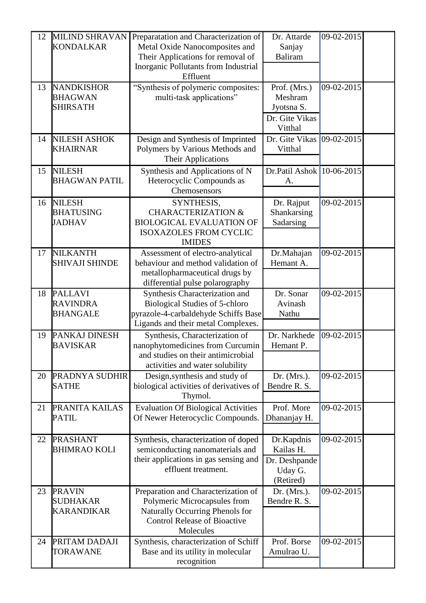| 12 | <b>MILIND SHRAVAN</b><br><b>KONDALKAR</b>              | Preparatation and Characterization of<br>Metal Oxide Nanocomposites and<br>Their Applications for removal of<br>Inorganic Pollutants from Industrial<br>Effluent | Dr. Attarde<br>Sanjay<br><b>Baliram</b>                            | 09-02-2015 |  |
|----|--------------------------------------------------------|------------------------------------------------------------------------------------------------------------------------------------------------------------------|--------------------------------------------------------------------|------------|--|
| 13 | <b>NANDKISHOR</b><br><b>BHAGWAN</b><br><b>SHIRSATH</b> | "Synthesis of polymeric composites:<br>multi-task applications"                                                                                                  | Prof. (Mrs.)<br>Meshram<br>Jyotsna S.<br>Dr. Gite Vikas<br>Vitthal | 09-02-2015 |  |
| 14 | <b>NILESH ASHOK</b><br><b>KHAIRNAR</b>                 | Design and Synthesis of Imprinted<br>Polymers by Various Methods and<br><b>Their Applications</b>                                                                | Dr. Gite Vikas<br>Vitthal                                          | 09-02-2015 |  |
| 15 | <b>NILESH</b><br><b>BHAGWAN PATIL</b>                  | Synthesis and Applications of N<br>Heterocyclic Compounds as<br>Chemosensors                                                                                     | Dr.Patil Ashok 10-06-2015<br>А.                                    |            |  |
| 16 | <b>NILESH</b><br><b>BHATUSING</b><br><b>JADHAV</b>     | SYNTHESIS,<br><b>CHARACTERIZATION &amp;</b><br><b>BIOLOGICAL EVALUATION OF</b><br><b>ISOXAZOLES FROM CYCLIC</b><br><b>IMIDES</b>                                 | Dr. Rajput<br>Shankarsing<br>Sadarsing                             | 09-02-2015 |  |
| 17 | <b>NILKANTH</b><br><b>SHIVAJI SHINDE</b>               | Assessment of electro-analytical<br>behaviour and method validation of<br>metallopharmaceutical drugs by<br>differential pulse polarography                      | Dr.Mahajan<br>Hemant A.                                            | 09-02-2015 |  |
| 18 | <b>PALLAVI</b><br><b>RAVINDRA</b><br><b>BHANGALE</b>   | Synthesis Characterization and<br><b>Biological Studies of 5-chloro</b><br>pyrazole-4-carbaldehyde Schiffs Base<br>Ligands and their metal Complexes.            | Dr. Sonar<br>Avinash<br>Nathu                                      | 09-02-2015 |  |
| 19 | PANKAJ DINESH<br><b>BAVISKAR</b>                       | Synthesis, Characterization of<br>nanophytomedicines from Curcumin<br>and studies on their antimicrobial<br>activities and water solubility                      | Dr. Narkhede<br>Hemant P.                                          | 09-02-2015 |  |
| 20 | PRADNYA SUDHIR<br><b>SATHE</b>                         | Design, synthesis and study of<br>biological activities of derivatives of<br>Thymol.                                                                             | Dr. $(Mrs.)$ .<br>Bendre R. S.                                     | 09-02-2015 |  |
| 21 | PRANITA KAILAS<br><b>PATIL</b>                         | <b>Evaluation Of Biological Activities</b><br>Of Newer Heterocyclic Compounds.                                                                                   | Prof. More<br>Dhananjay H.                                         | 09-02-2015 |  |
| 22 | <b>PRASHANT</b><br><b>BHIMRAO KOLI</b>                 | Synthesis, characterization of doped<br>semiconducting nanomaterials and<br>their applications in gas sensing and<br>effluent treatment.                         | Dr.Kapdnis<br>Kailas H.<br>Dr. Deshpande<br>Uday G.<br>(Retired)   | 09-02-2015 |  |
| 23 | <b>PRAVIN</b><br><b>SUDHAKAR</b><br><b>KARANDIKAR</b>  | Preparation and Characterization of<br>Polymeric Microcapsules from<br>Naturally Occurring Phenols for<br><b>Control Release of Bioactive</b><br>Molecules       | Dr. (Mrs.).<br>Bendre R. S.                                        | 09-02-2015 |  |
| 24 | PRITAM DADAJI<br><b>TORAWANE</b>                       | Synthesis, characterization of Schiff<br>Base and its utility in molecular<br>recognition                                                                        | Prof. Borse<br>Amulrao U.                                          | 09-02-2015 |  |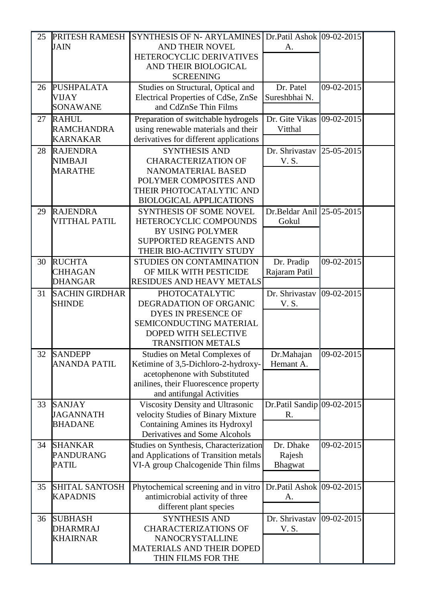| 25 | PRITESH RAMESH                  | <b>SYNTHESIS OF N- ARYLAMINES</b>                         | Dr.Patil Ashok 09-02-2015                      |            |  |
|----|---------------------------------|-----------------------------------------------------------|------------------------------------------------|------------|--|
|    | <b>JAIN</b>                     | AND THEIR NOVEL                                           | А.                                             |            |  |
|    |                                 | HETEROCYCLIC DERIVATIVES                                  |                                                |            |  |
|    |                                 | AND THEIR BIOLOGICAL                                      |                                                |            |  |
|    |                                 | <b>SCREENING</b>                                          |                                                |            |  |
| 26 | <b>PUSHPALATA</b>               | Studies on Structural, Optical and                        | Dr. Patel                                      | 09-02-2015 |  |
|    | <b>VIJAY</b>                    | Electrical Properties of CdSe, ZnSe                       | Sureshbhai N.                                  |            |  |
|    | <b>SONAWANE</b>                 | and CdZnSe Thin Films                                     |                                                |            |  |
| 27 | <b>RAHUL</b>                    | Preparation of switchable hydrogels                       | Dr. Gite Vikas                                 | 09-02-2015 |  |
|    | <b>RAMCHANDRA</b>               | using renewable materials and their                       | Vitthal                                        |            |  |
|    | <b>KARNAKAR</b>                 | derivatives for different applications                    |                                                |            |  |
| 28 | <b>RAJENDRA</b>                 | <b>SYNTHESIS AND</b>                                      | Dr. Shrivastav                                 | 25-05-2015 |  |
|    | <b>NIMBAJI</b>                  | <b>CHARACTERIZATION OF</b>                                | V.S.                                           |            |  |
|    | <b>MARATHE</b>                  | NANOMATERIAL BASED                                        |                                                |            |  |
|    |                                 | POLYMER COMPOSITES AND                                    |                                                |            |  |
|    |                                 | THEIR PHOTOCATALYTIC AND                                  |                                                |            |  |
|    |                                 | <b>BIOLOGICAL APPLICATIONS</b>                            |                                                |            |  |
| 29 | <b>RAJENDRA</b>                 | <b>SYNTHESIS OF SOME NOVEL</b>                            | Dr.Beldar Anil $\left  25 - 05 - 2015 \right $ |            |  |
|    | <b>VITTHAL PATIL</b>            | HETEROCYCLIC COMPOUNDS                                    | Gokul                                          |            |  |
|    |                                 | <b>BY USING POLYMER</b>                                   |                                                |            |  |
|    |                                 | <b>SUPPORTED REAGENTS AND</b><br>THEIR BIO-ACTIVITY STUDY |                                                |            |  |
|    |                                 |                                                           |                                                |            |  |
| 30 | <b>RUCHTA</b><br><b>CHHAGAN</b> | STUDIES ON CONTAMINATION<br>OF MILK WITH PESTICIDE        | Dr. Pradip                                     | 09-02-2015 |  |
|    | <b>DHANGAR</b>                  | <b>RESIDUES AND HEAVY METALS</b>                          | Rajaram Patil                                  |            |  |
|    |                                 |                                                           |                                                |            |  |
| 31 | <b>SACHIN GIRDHAR</b>           | <b>PHOTOCATALYTIC</b>                                     | Dr. Shrivastav                                 | 09-02-2015 |  |
|    | <b>SHINDE</b>                   | DEGRADATION OF ORGANIC<br>DYES IN PRESENCE OF             | V. S.                                          |            |  |
|    |                                 | SEMICONDUCTING MATERIAL                                   |                                                |            |  |
|    |                                 | DOPED WITH SELECTIVE                                      |                                                |            |  |
|    |                                 | <b>TRANSITION METALS</b>                                  |                                                |            |  |
| 32 | <b>SANDEPP</b>                  | <b>Studies on Metal Complexes of</b>                      | Dr.Mahajan                                     | 09-02-2015 |  |
|    | <b>ANANDA PATIL</b>             | Ketimine of 3,5-Dichloro-2-hydroxy-                       | Hemant A.                                      |            |  |
|    |                                 | acetophenone with Substituted                             |                                                |            |  |
|    |                                 | anilines, their Fluorescence property                     |                                                |            |  |
|    |                                 | and antifungal Activities                                 |                                                |            |  |
| 33 | <b>SANJAY</b>                   | Viscosity Density and Ultrasonic                          | Dr. Patil Sandip $09-02-2015$                  |            |  |
|    | <b>JAGANNATH</b>                | velocity Studies of Binary Mixture                        | R.                                             |            |  |
|    | <b>BHADANE</b>                  | <b>Containing Amines its Hydroxyl</b>                     |                                                |            |  |
|    |                                 | Derivatives and Some Alcohols                             |                                                |            |  |
| 34 | <b>SHANKAR</b>                  | Studies on Synthesis, Characterization                    | Dr. Dhake                                      | 09-02-2015 |  |
|    | <b>PANDURANG</b>                | and Applications of Transition metals                     | Rajesh                                         |            |  |
|    | <b>PATIL</b>                    | VI-A group Chalcogenide Thin films                        | Bhagwat                                        |            |  |
|    |                                 |                                                           |                                                |            |  |
| 35 | <b>SHITAL SANTOSH</b>           | Phytochemical screening and in vitro                      | Dr.Patil Ashok 09-02-2015                      |            |  |
|    | <b>KAPADNIS</b>                 | antimicrobial activity of three                           | A.                                             |            |  |
|    |                                 | different plant species                                   |                                                |            |  |
| 36 | <b>SUBHASH</b>                  | <b>SYNTHESIS AND</b>                                      | Dr. Shrivastav                                 | 09-02-2015 |  |
|    | <b>DHARMRAJ</b>                 | <b>CHARACTERIZATIONS OF</b>                               | V.S.                                           |            |  |
|    | <b>KHAIRNAR</b>                 | NANOCRYSTALLINE                                           |                                                |            |  |
|    |                                 | <b>MATERIALS AND THEIR DOPED</b>                          |                                                |            |  |
|    |                                 | THIN FILMS FOR THE                                        |                                                |            |  |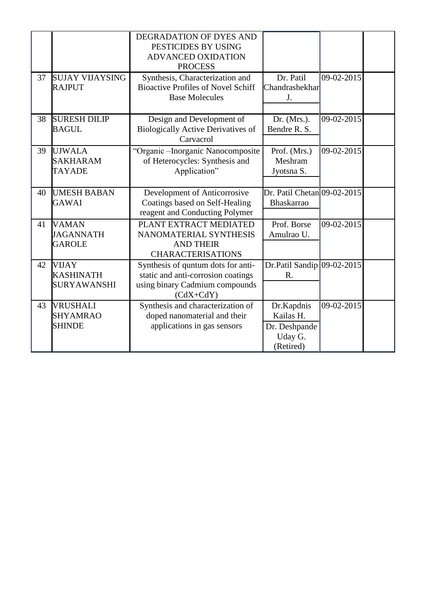|    |                        | DEGRADATION OF DYES AND                   |                              |            |  |
|----|------------------------|-------------------------------------------|------------------------------|------------|--|
|    |                        | PESTICIDES BY USING                       |                              |            |  |
|    |                        | ADVANCED OXIDATION                        |                              |            |  |
|    |                        | <b>PROCESS</b>                            |                              |            |  |
| 37 | <b>SUJAY VIJAYSING</b> | Synthesis, Characterization and           | Dr. Patil                    | 09-02-2015 |  |
|    | <b>RAJPUT</b>          | <b>Bioactive Profiles of Novel Schiff</b> | Chandrashekhar               |            |  |
|    |                        | <b>Base Molecules</b>                     | J.                           |            |  |
|    |                        |                                           |                              |            |  |
| 38 | <b>SURESH DILIP</b>    | Design and Development of                 | Dr. $(Mrs.)$ .               | 09-02-2015 |  |
|    | <b>BAGUL</b>           | <b>Biologically Active Derivatives of</b> | Bendre R. S.                 |            |  |
|    |                        | Carvacrol                                 |                              |            |  |
| 39 | <b>UJWALA</b>          | "Organic - Inorganic Nanocomposite        | Prof. (Mrs.)                 | 09-02-2015 |  |
|    | <b>SAKHARAM</b>        | of Heterocycles: Synthesis and            | Meshram                      |            |  |
|    | <b>TAYADE</b>          | Application"                              | Jyotsna S.                   |            |  |
|    |                        |                                           |                              |            |  |
| 40 | <b>UMESH BABAN</b>     | Development of Anticorrosive              | Dr. Patil Chetan 09-02-2015  |            |  |
|    | <b>GAWAI</b>           | Coatings based on Self-Healing            | Bhaskarrao                   |            |  |
|    |                        | reagent and Conducting Polymer            |                              |            |  |
| 41 | <b>VAMAN</b>           | PLANT EXTRACT MEDIATED                    | Prof. Borse                  | 09-02-2015 |  |
|    | <b>JAGANNATH</b>       | NANOMATERIAL SYNTHESIS                    | Amulrao U.                   |            |  |
|    | <b>GAROLE</b>          | <b>AND THEIR</b>                          |                              |            |  |
|    |                        | <b>CHARACTERISATIONS</b>                  |                              |            |  |
| 42 | VIJAY                  | Synthesis of quntum dots for anti-        | Dr.Patil Sandip $09-02-2015$ |            |  |
|    | <b>KASHINATH</b>       | static and anti-corrosion coatings        | R.                           |            |  |
|    | <b>SURYAWANSHI</b>     | using binary Cadmium compounds            |                              |            |  |
|    |                        | $(CdX+CdY)$                               |                              |            |  |
| 43 | <b>VRUSHALI</b>        | Synthesis and characterization of         | Dr.Kapdnis                   | 09-02-2015 |  |
|    | <b>SHYAMRAO</b>        | doped nanomaterial and their              | Kailas H.                    |            |  |
|    | <b>SHINDE</b>          | applications in gas sensors               | Dr. Deshpande                |            |  |
|    |                        |                                           | Uday G.                      |            |  |
|    |                        |                                           | (Retired)                    |            |  |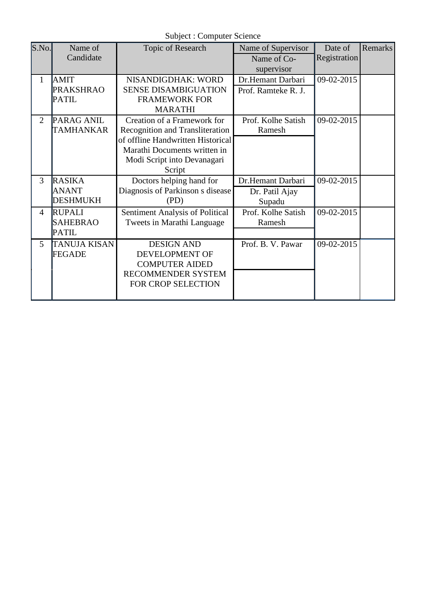Subject : Computer Science

| S.No.          | Name of             | Topic of Research                 | Name of Supervisor  | Date of      | <b>Remarks</b> |
|----------------|---------------------|-----------------------------------|---------------------|--------------|----------------|
|                | Candidate           |                                   | Name of Co-         | Registration |                |
|                |                     |                                   | supervisor          |              |                |
| 1              | <b>AMIT</b>         | NISANDIGDHAK: WORD                | Dr.Hemant Darbari   | 09-02-2015   |                |
|                | <b>PRAKSHRAO</b>    | <b>SENSE DISAMBIGUATION</b>       | Prof. Ramteke R. J. |              |                |
|                | <b>PATIL</b>        | <b>FRAMEWORK FOR</b>              |                     |              |                |
|                |                     | <b>MARATHI</b>                    |                     |              |                |
| $\overline{2}$ | <b>PARAG ANIL</b>   | Creation of a Framework for       | Prof. Kolhe Satish  | 09-02-2015   |                |
|                | <b>TAMHANKAR</b>    | Recognition and Transliteration   | Ramesh              |              |                |
|                |                     | of offline Handwritten Historical |                     |              |                |
|                |                     | Marathi Documents written in      |                     |              |                |
|                |                     | Modi Script into Devanagari       |                     |              |                |
|                |                     | Script                            |                     |              |                |
| 3              | <b>RASIKA</b>       | Doctors helping hand for          | Dr.Hemant Darbari   | 09-02-2015   |                |
|                | <b>ANANT</b>        | Diagnosis of Parkinson s disease  | Dr. Patil Ajay      |              |                |
|                | <b>DESHMUKH</b>     | (PD)                              | Supadu              |              |                |
| 4              | <b>RUPALI</b>       | Sentiment Analysis of Political   | Prof. Kolhe Satish  | 09-02-2015   |                |
|                | <b>SAHEBRAO</b>     | Tweets in Marathi Language        | Ramesh              |              |                |
|                | <b>PATIL</b>        |                                   |                     |              |                |
| 5              | <b>TANUJA KISAN</b> | <b>DESIGN AND</b>                 | Prof. B. V. Pawar   | 09-02-2015   |                |
|                | FEGADE              | DEVELOPMENT OF                    |                     |              |                |
|                |                     | <b>COMPUTER AIDED</b>             |                     |              |                |
|                |                     | <b>RECOMMENDER SYSTEM</b>         |                     |              |                |
|                |                     | FOR CROP SELECTION                |                     |              |                |
|                |                     |                                   |                     |              |                |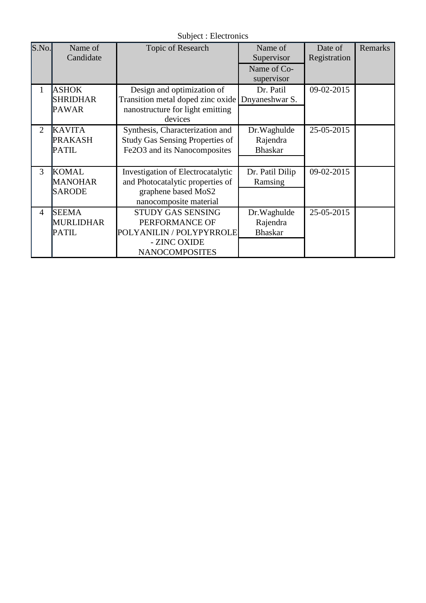Subject : Electronics

| S.No.          | Name of<br>Candidate                             | Topic of Research                                                                                                      | Name of<br>Supervisor<br>Name of Co-<br>supervisor | Date of<br>Registration | Remarks |
|----------------|--------------------------------------------------|------------------------------------------------------------------------------------------------------------------------|----------------------------------------------------|-------------------------|---------|
| 1              | <b>ASHOK</b><br><b>SHRIDHAR</b><br><b>PAWAR</b>  | Design and optimization of<br>Transition metal doped zinc oxide<br>nanostructure for light emitting<br>devices         | Dr. Patil<br>Dnyaneshwar S.                        | 09-02-2015              |         |
| $\overline{2}$ | <b>KAVITA</b><br><b>PRAKASH</b><br><b>PATIL</b>  | Synthesis, Characterization and<br><b>Study Gas Sensing Properties of</b><br>Fe2O3 and its Nanocomposites              | Dr.Waghulde<br>Rajendra<br><b>Bhaskar</b>          | 25-05-2015              |         |
| 3              | <b>KOMAL</b><br><b>MANOHAR</b><br><b>SARODE</b>  | Investigation of Electrocatalytic<br>and Photocatalytic properties of<br>graphene based MoS2<br>nanocomposite material | Dr. Patil Dilip<br>Ramsing                         | 09-02-2015              |         |
| $\overline{4}$ | <b>SEEMA</b><br><b>MURLIDHAR</b><br><b>PATIL</b> | STUDY GAS SENSING<br>PERFORMANCE OF<br>POLYANILIN / POLYPYRROLE<br>- ZINC OXIDE<br><b>NANOCOMPOSITES</b>               | Dr. Waghulde<br>Rajendra<br><b>Bhaskar</b>         | 25-05-2015              |         |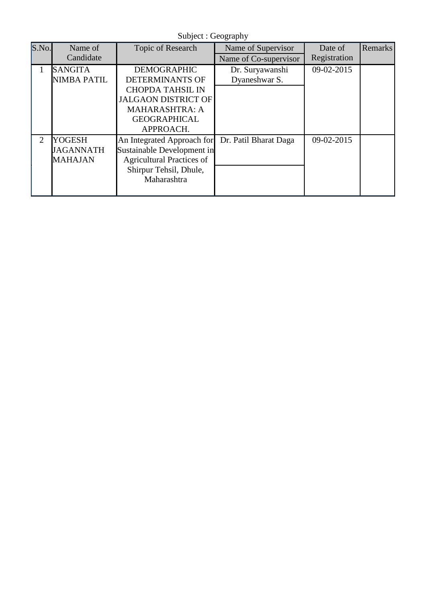Subject : Geography

| S.No. | Name of            | Topic of Research                | Name of Supervisor    | Date of      | Remarks |
|-------|--------------------|----------------------------------|-----------------------|--------------|---------|
|       | Candidate          |                                  | Name of Co-supervisor | Registration |         |
|       | <b>SANGITA</b>     | <b>DEMOGRAPHIC</b>               | Dr. Suryawanshi       | 09-02-2015   |         |
|       | <b>NIMBA PATIL</b> | DETERMINANTS OF                  | Dyaneshwar S.         |              |         |
|       |                    | <b>CHOPDA TAHSIL IN</b>          |                       |              |         |
|       |                    | <b>JALGAON DISTRICT OF</b>       |                       |              |         |
|       |                    | <b>MAHARASHTRA: A</b>            |                       |              |         |
|       |                    | <b>GEOGRAPHICAL</b>              |                       |              |         |
|       |                    | APPROACH.                        |                       |              |         |
| 2     | <b>YOGESH</b>      | An Integrated Approach for       | Dr. Patil Bharat Daga | 09-02-2015   |         |
|       | <b>JAGANNATH</b>   | Sustainable Development in       |                       |              |         |
|       | <b>MAHAJAN</b>     | <b>Agricultural Practices of</b> |                       |              |         |
|       |                    | Shirpur Tehsil, Dhule,           |                       |              |         |
|       |                    | Maharashtra                      |                       |              |         |
|       |                    |                                  |                       |              |         |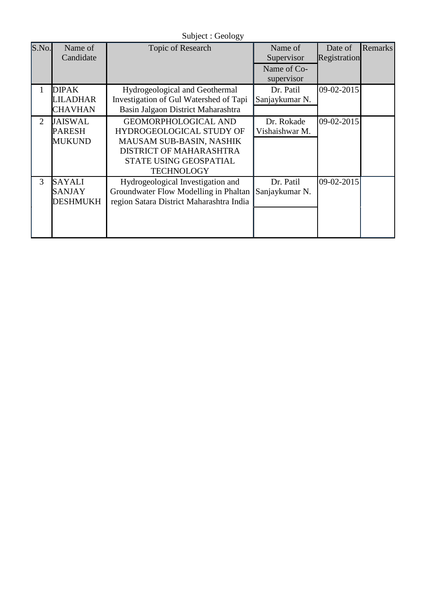| S.No. | Name of<br>Candidate                              | Topic of Research                                                                                                                                                    | Name of<br>Supervisor        | Date of<br><b>Registration</b> | Remarks |
|-------|---------------------------------------------------|----------------------------------------------------------------------------------------------------------------------------------------------------------------------|------------------------------|--------------------------------|---------|
|       |                                                   |                                                                                                                                                                      | Name of Co-<br>supervisor    |                                |         |
| 1     | <b>DIPAK</b><br>LILADHAR<br><b>CHAVHAN</b>        | Hydrogeological and Geothermal<br>Investigation of Gul Watershed of Tapi<br>Basin Jalgaon District Maharashtra                                                       | Dr. Patil<br>Sanjaykumar N.  | $09 - 02 - 2015$               |         |
| 2     | <b>JAISWAL</b><br><b>PARESH</b><br><b>MUKUND</b>  | <b>GEOMORPHOLOGICAL AND</b><br>HYDROGEOLOGICAL STUDY OF<br><b>MAUSAM SUB-BASIN, NASHIK</b><br>DISTRICT OF MAHARASHTRA<br>STATE USING GEOSPATIAL<br><b>TECHNOLOGY</b> | Dr. Rokade<br>Vishaishwar M. | $09 - 02 - 2015$               |         |
| 3     | <b>SAYALI</b><br><b>SANJAY</b><br><b>DESHMUKH</b> | Hydrogeological Investigation and<br>Groundwater Flow Modelling in Phaltan<br>region Satara District Maharashtra India                                               | Dr. Patil<br>Sanjaykumar N.  | 09-02-2015                     |         |

Subject : Geology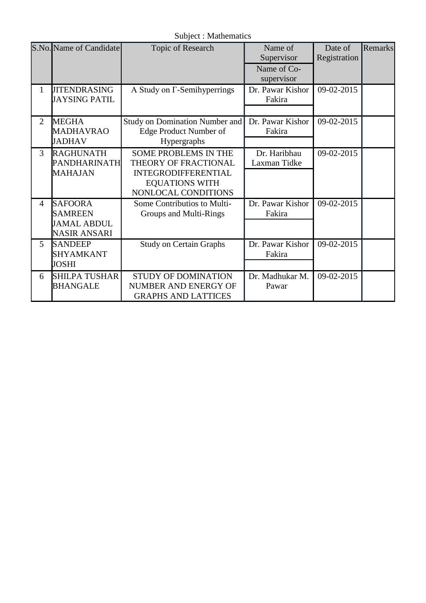Subject : Mathematics

|                | S.No. Name of Candidate | Topic of Research              | Name of          | Date of      | Remarks |
|----------------|-------------------------|--------------------------------|------------------|--------------|---------|
|                |                         |                                | Supervisor       | Registration |         |
|                |                         |                                | Name of Co-      |              |         |
|                |                         |                                | supervisor       |              |         |
| 1              | <b>JITENDRASING</b>     | A Study on Γ-Semihyperrings    | Dr. Pawar Kishor | 09-02-2015   |         |
|                | <b>JAYSING PATIL</b>    |                                | Fakira           |              |         |
|                |                         |                                |                  |              |         |
| $\overline{2}$ | <b>MEGHA</b>            | Study on Domination Number and | Dr. Pawar Kishor | 09-02-2015   |         |
|                | <b>MADHAVRAO</b>        | Edge Product Number of         | Fakira           |              |         |
|                | <b>JADHAV</b>           | Hypergraphs                    |                  |              |         |
| 3              | <b>RAGHUNATH</b>        | <b>SOME PROBLEMS IN THE</b>    | Dr. Haribhau     | 09-02-2015   |         |
|                | PANDHARINATH            | THEORY OF FRACTIONAL           | Laxman Tidke     |              |         |
|                | <b>MAHAJAN</b>          | <b>INTEGRODIFFERENTIAL</b>     |                  |              |         |
|                |                         | <b>EQUATIONS WITH</b>          |                  |              |         |
|                |                         | NONLOCAL CONDITIONS            |                  |              |         |
| $\overline{4}$ | <b>SAFOORA</b>          | Some Contributios to Multi-    | Dr. Pawar Kishor | 09-02-2015   |         |
|                | <b>SAMREEN</b>          | Groups and Multi-Rings         | Fakira           |              |         |
|                | <b>JAMAL ABDUL</b>      |                                |                  |              |         |
|                | <b>NASIR ANSARI</b>     |                                |                  |              |         |
| 5              | <b>SANDEEP</b>          | <b>Study on Certain Graphs</b> | Dr. Pawar Kishor | 09-02-2015   |         |
|                | <b>SHYAMKANT</b>        |                                | Fakira           |              |         |
|                | <b>JOSHI</b>            |                                |                  |              |         |
| 6              | <b>SHILPA TUSHAR</b>    | <b>STUDY OF DOMINATION</b>     | Dr. Madhukar M.  | 09-02-2015   |         |
|                | <b>BHANGALE</b>         | NUMBER AND ENERGY OF           | Pawar            |              |         |
|                |                         | <b>GRAPHS AND LATTICES</b>     |                  |              |         |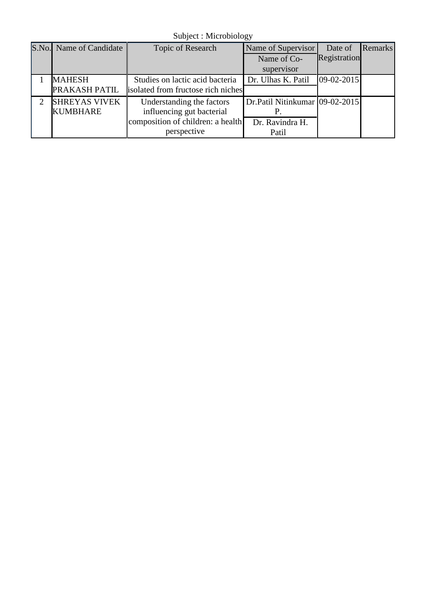Subject : Microbiology

| S.No.                       | Name of Candidate    | Topic of Research                  | Name of Supervisor             | Date of      | <b>Remarks</b> |
|-----------------------------|----------------------|------------------------------------|--------------------------------|--------------|----------------|
|                             |                      |                                    | Name of Co-                    | Registration |                |
|                             |                      |                                    | supervisor                     |              |                |
|                             | <b>MAHESH</b>        | Studies on lactic acid bacteria    | Dr. Ulhas K. Patil             | $09-02-2015$ |                |
|                             | PRAKASH PATIL        | isolated from fructose rich niches |                                |              |                |
| $\mathcal{D}_{\mathcal{A}}$ | <b>SHREYAS VIVEK</b> | Understanding the factors          | Dr.Patil Nitinkumar 09-02-2015 |              |                |
|                             | <b>KUMBHARE</b>      | influencing gut bacterial          | P.                             |              |                |
|                             |                      | composition of children: a health  | Dr. Ravindra H.                |              |                |
|                             |                      | perspective                        | Patil                          |              |                |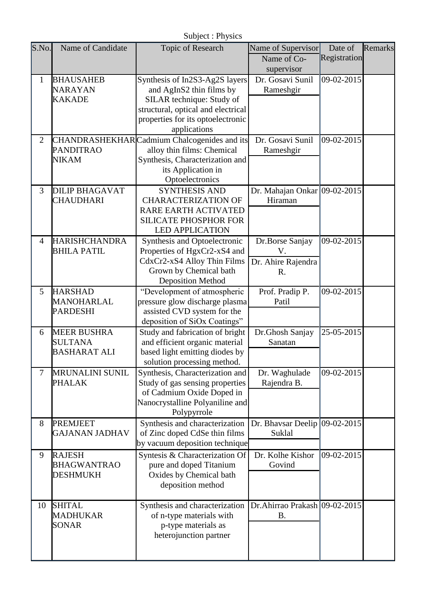|                            | Subject : Physics                    |                                                                   |                                |              |         |  |  |
|----------------------------|--------------------------------------|-------------------------------------------------------------------|--------------------------------|--------------|---------|--|--|
| S.No.<br>Name of Candidate |                                      | Topic of Research                                                 | Name of Supervisor             | Date of      | Remarks |  |  |
|                            |                                      |                                                                   | Name of Co-                    | Registration |         |  |  |
|                            |                                      |                                                                   | supervisor                     |              |         |  |  |
| 1                          | <b>BHAUSAHEB</b>                     | Synthesis of In2S3-Ag2S layers                                    | Dr. Gosavi Sunil               | 09-02-2015   |         |  |  |
|                            | <b>NARAYAN</b>                       | and AgInS2 thin films by                                          | Rameshgir                      |              |         |  |  |
|                            | <b>KAKADE</b>                        | SILAR technique: Study of                                         |                                |              |         |  |  |
|                            |                                      | structural, optical and electrical                                |                                |              |         |  |  |
|                            |                                      | properties for its optoelectronic                                 |                                |              |         |  |  |
|                            |                                      | applications                                                      |                                |              |         |  |  |
| $\overline{2}$             |                                      | CHANDRASHEKHARCadmium Chalcogenides and its                       | Dr. Gosavi Sunil               | 09-02-2015   |         |  |  |
|                            | <b>PANDITRAO</b>                     | alloy thin films: Chemical                                        | Rameshgir                      |              |         |  |  |
|                            | <b>NIKAM</b>                         | Synthesis, Characterization and                                   |                                |              |         |  |  |
|                            |                                      | its Application in                                                |                                |              |         |  |  |
|                            |                                      | Optoelectronics                                                   |                                |              |         |  |  |
| 3                          | <b>DILIP BHAGAVAT</b>                | <b>SYNTHESIS AND</b>                                              | Dr. Mahajan Onkar 09-02-2015   |              |         |  |  |
|                            | <b>CHAUDHARI</b>                     | <b>CHARACTERIZATION OF</b>                                        | Hiraman                        |              |         |  |  |
|                            |                                      | RARE EARTH ACTIVATED                                              |                                |              |         |  |  |
|                            |                                      | <b>SILICATE PHOSPHOR FOR</b>                                      |                                |              |         |  |  |
|                            |                                      | <b>LED APPLICATION</b>                                            |                                |              |         |  |  |
| $\overline{4}$             | <b>HARISHCHANDRA</b>                 | Synthesis and Optoelectronic                                      | Dr.Borse Sanjay                | 09-02-2015   |         |  |  |
|                            | <b>BHILA PATIL</b>                   | Properties of HgxCr2-xS4 and                                      | V.                             |              |         |  |  |
|                            |                                      | CdxCr2-xS4 Alloy Thin Films                                       | Dr. Ahire Rajendra             |              |         |  |  |
|                            |                                      | Grown by Chemical bath                                            | R.                             |              |         |  |  |
|                            |                                      | <b>Deposition Method</b>                                          |                                |              |         |  |  |
| 5                          | <b>HARSHAD</b>                       | "Development of atmospheric                                       | Prof. Pradip P.                | 09-02-2015   |         |  |  |
|                            | MANOHARLAL                           | pressure glow discharge plasma                                    | Patil                          |              |         |  |  |
|                            | <b>PARDESHI</b>                      | assisted CVD system for the<br>deposition of SiOx Coatings"       |                                |              |         |  |  |
|                            |                                      |                                                                   |                                | 25-05-2015   |         |  |  |
| 6                          | <b>MEER BUSHRA</b><br><b>SULTANA</b> | Study and fabrication of bright<br>and efficient organic material | Dr.Ghosh Sanjay<br>Sanatan     |              |         |  |  |
|                            | <b>BASHARAT ALI</b>                  | based light emitting diodes by                                    |                                |              |         |  |  |
|                            |                                      | solution processing method.                                       |                                |              |         |  |  |
| $\tau$                     | <b>MRUNALINI SUNIL</b>               | Synthesis, Characterization and                                   | Dr. Waghulade                  | 09-02-2015   |         |  |  |
|                            | <b>PHALAK</b>                        | Study of gas sensing properties                                   | Rajendra B.                    |              |         |  |  |
|                            |                                      | of Cadmium Oxide Doped in                                         |                                |              |         |  |  |
|                            |                                      | Nanocrystalline Polyaniline and                                   |                                |              |         |  |  |
|                            |                                      | Polypyrrole                                                       |                                |              |         |  |  |
| 8                          | <b>PREMJEET</b>                      | Synthesis and characterization                                    | Dr. Bhavsar Deelip             | 09-02-2015   |         |  |  |
|                            | <b>GAJANAN JADHAV</b>                | of Zinc doped CdSe thin films                                     | Suklal                         |              |         |  |  |
|                            |                                      | by vacuum deposition technique                                    |                                |              |         |  |  |
| 9                          | <b>RAJESH</b>                        | Syntesis & Characterization Of                                    | Dr. Kolhe Kishor               | 09-02-2015   |         |  |  |
|                            | <b>BHAGWANTRAO</b>                   | pure and doped Titanium                                           | Govind                         |              |         |  |  |
|                            | <b>DESHMUKH</b>                      | Oxides by Chemical bath                                           |                                |              |         |  |  |
|                            |                                      | deposition method                                                 |                                |              |         |  |  |
|                            |                                      |                                                                   |                                |              |         |  |  |
| 10                         | <b>SHITAL</b>                        | Synthesis and characterization                                    | Dr. Ahirrao Prakash 09-02-2015 |              |         |  |  |
|                            | <b>MADHUKAR</b>                      | of n-type materials with                                          | <b>B.</b>                      |              |         |  |  |
|                            | <b>SONAR</b>                         | p-type materials as                                               |                                |              |         |  |  |
|                            |                                      | heterojunction partner                                            |                                |              |         |  |  |
|                            |                                      |                                                                   |                                |              |         |  |  |
|                            |                                      |                                                                   |                                |              |         |  |  |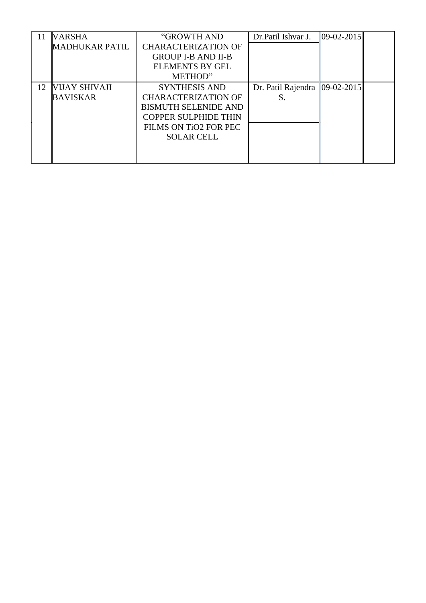|    | <b>VARSHA</b>         | "GROWTH AND                 | Dr. Patil Ishvar J. | $ 09-02-2015 $ |  |
|----|-----------------------|-----------------------------|---------------------|----------------|--|
|    | <b>MADHUKAR PATIL</b> | <b>CHARACTERIZATION OF</b>  |                     |                |  |
|    |                       | <b>GROUP I-B AND II-B</b>   |                     |                |  |
|    |                       | <b>ELEMENTS BY GEL</b>      |                     |                |  |
|    |                       | METHOD"                     |                     |                |  |
| 12 | VIJAY SHIVAJI         | <b>SYNTHESIS AND</b>        | Dr. Patil Rajendra  | $ 09-02-2015 $ |  |
|    | <b>BAVISKAR</b>       | <b>CHARACTERIZATION OF</b>  | S.                  |                |  |
|    |                       | <b>BISMUTH SELENIDE AND</b> |                     |                |  |
|    |                       | <b>COPPER SULPHIDE THIN</b> |                     |                |  |
|    |                       | FILMS ON TIO2 FOR PEC       |                     |                |  |
|    |                       | <b>SOLAR CELL</b>           |                     |                |  |
|    |                       |                             |                     |                |  |
|    |                       |                             |                     |                |  |